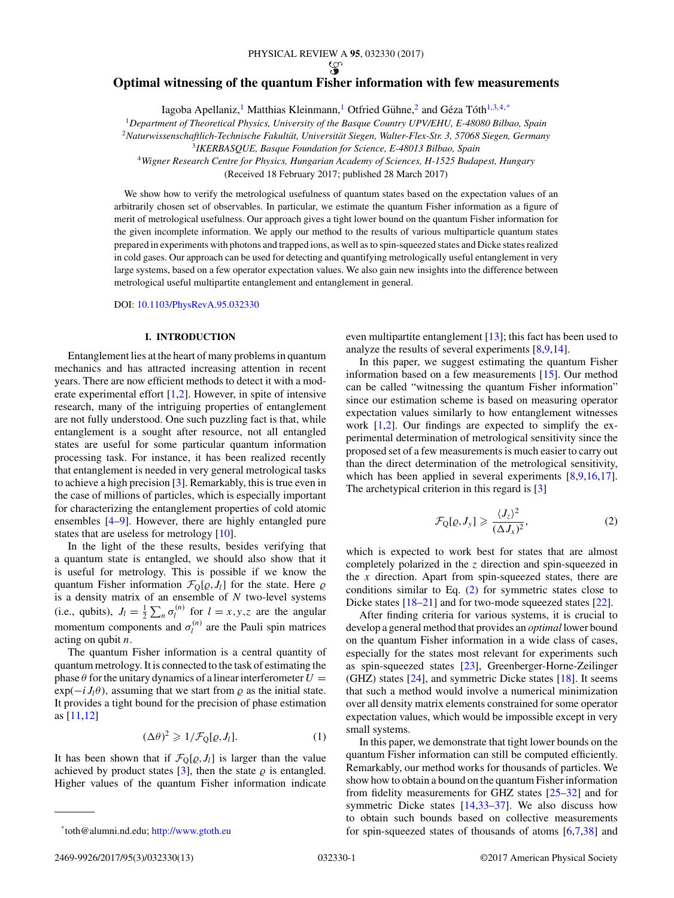#### PHYSICAL REVIEW A **95**, 032330 (2017)

## <span id="page-0-0"></span>**Optimal witnessing of the quantum Fisher information with few measurements**

Iagoba Apellaniz,<sup>1</sup> Matthias Kleinmann,<sup>1</sup> Otfried Gühne,<sup>2</sup> and Géza Tóth<sup>1,3,4,\*</sup>

<sup>1</sup>*Department of Theoretical Physics, University of the Basque Country UPV/EHU, E-48080 Bilbao, Spain*

<sup>2</sup>*Naturwissenschaftlich-Technische Fakultat, Universit ¨ at Siegen, Walter-Flex-Str. 3, 57068 Siegen, Germany ¨*

<sup>3</sup>*IKERBASQUE, Basque Foundation for Science, E-48013 Bilbao, Spain*

<sup>4</sup>*Wigner Research Centre for Physics, Hungarian Academy of Sciences, H-1525 Budapest, Hungary*

(Received 18 February 2017; published 28 March 2017)

We show how to verify the metrological usefulness of quantum states based on the expectation values of an arbitrarily chosen set of observables. In particular, we estimate the quantum Fisher information as a figure of merit of metrological usefulness. Our approach gives a tight lower bound on the quantum Fisher information for the given incomplete information. We apply our method to the results of various multiparticle quantum states prepared in experiments with photons and trapped ions, as well as to spin-squeezed states and Dicke states realized in cold gases. Our approach can be used for detecting and quantifying metrologically useful entanglement in very large systems, based on a few operator expectation values. We also gain new insights into the difference between metrological useful multipartite entanglement and entanglement in general.

DOI: [10.1103/PhysRevA.95.032330](https://doi.org/10.1103/PhysRevA.95.032330)

# **I. INTRODUCTION**

Entanglement lies at the heart of many problems in quantum mechanics and has attracted increasing attention in recent years. There are now efficient methods to detect it with a moderate experimental effort [\[1,2\]](#page-11-0). However, in spite of intensive research, many of the intriguing properties of entanglement are not fully understood. One such puzzling fact is that, while entanglement is a sought after resource, not all entangled states are useful for some particular quantum information processing task. For instance, it has been realized recently that entanglement is needed in very general metrological tasks to achieve a high precision [\[3\]](#page-11-0). Remarkably, this is true even in the case of millions of particles, which is especially important for characterizing the entanglement properties of cold atomic ensembles [\[4–9\]](#page-11-0). However, there are highly entangled pure states that are useless for metrology [\[10\]](#page-11-0).

In the light of the these results, besides verifying that a quantum state is entangled, we should also show that it is useful for metrology. This is possible if we know the quantum Fisher information  $\mathcal{F}_{Q}[\varrho, J_{l}]$  for the state. Here  $\varrho$ is a density matrix of an ensemble of *N* two-level systems (i.e., qubits),  $J_l = \frac{1}{2} \sum_n \sigma_l^{(n)}$  for  $l = x, y, z$  are the angular momentum components and  $\sigma_l^{(n)}$  are the Pauli spin matrices acting on qubit *n.*

The quantum Fisher information is a central quantity of quantum metrology. It is connected to the task of estimating the phase  $\theta$  for the unitary dynamics of a linear interferometer  $U =$  $\exp(-i J_l \theta)$ , assuming that we start from  $\rho$  as the initial state. It provides a tight bound for the precision of phase estimation as [\[11,12\]](#page-11-0)

$$
(\Delta \theta)^2 \geqslant 1/\mathcal{F}_Q[\varrho, J_l].\tag{1}
$$

It has been shown that if  $\mathcal{F}_{\mathbb{Q}}[\varrho, J_l]$  is larger than the value achieved by product states  $[3]$ , then the state  $\varrho$  is entangled. Higher values of the quantum Fisher information indicate even multipartite entanglement [\[13\]](#page-11-0); this fact has been used to analyze the results of several experiments [\[8,9,14\]](#page-11-0).

In this paper, we suggest estimating the quantum Fisher information based on a few measurements [\[15\]](#page-11-0). Our method can be called "witnessing the quantum Fisher information" since our estimation scheme is based on measuring operator expectation values similarly to how entanglement witnesses work [\[1,2\]](#page-11-0). Our findings are expected to simplify the experimental determination of metrological sensitivity since the proposed set of a few measurements is much easier to carry out than the direct determination of the metrological sensitivity, which has been applied in several experiments  $[8,9,16,17]$ . The archetypical criterion in this regard is [\[3\]](#page-11-0)

$$
\mathcal{F}_{Q}[\varrho, J_{y}] \geqslant \frac{\langle J_{z}\rangle^{2}}{(\Delta J_{x})^{2}},\tag{2}
$$

which is expected to work best for states that are almost completely polarized in the *z* direction and spin-squeezed in the *x* direction. Apart from spin-squeezed states, there are conditions similar to Eq. (2) for symmetric states close to Dicke states [\[18–21\]](#page-11-0) and for two-mode squeezed states [\[22\]](#page-11-0).

After finding criteria for various systems, it is crucial to develop a general method that provides an *optimal* lower bound on the quantum Fisher information in a wide class of cases, especially for the states most relevant for experiments such as spin-squeezed states [\[23\]](#page-11-0), Greenberger-Horne-Zeilinger (GHZ) states  $[24]$ , and symmetric Dicke states  $[18]$ . It seems that such a method would involve a numerical minimization over all density matrix elements constrained for some operator expectation values, which would be impossible except in very small systems.

In this paper, we demonstrate that tight lower bounds on the quantum Fisher information can still be computed efficiently. Remarkably, our method works for thousands of particles. We show how to obtain a bound on the quantum Fisher information from fidelity measurements for GHZ states [\[25–](#page-11-0)[32\]](#page-12-0) and for symmetric Dicke states [\[14](#page-11-0)[,33–37\]](#page-12-0). We also discuss how to obtain such bounds based on collective measurements for spin-squeezed states of thousands of atoms [\[6,7,](#page-11-0)[38\]](#page-12-0) and

<sup>\*</sup>toth@alumni.nd.edu; <http://www.gtoth.eu>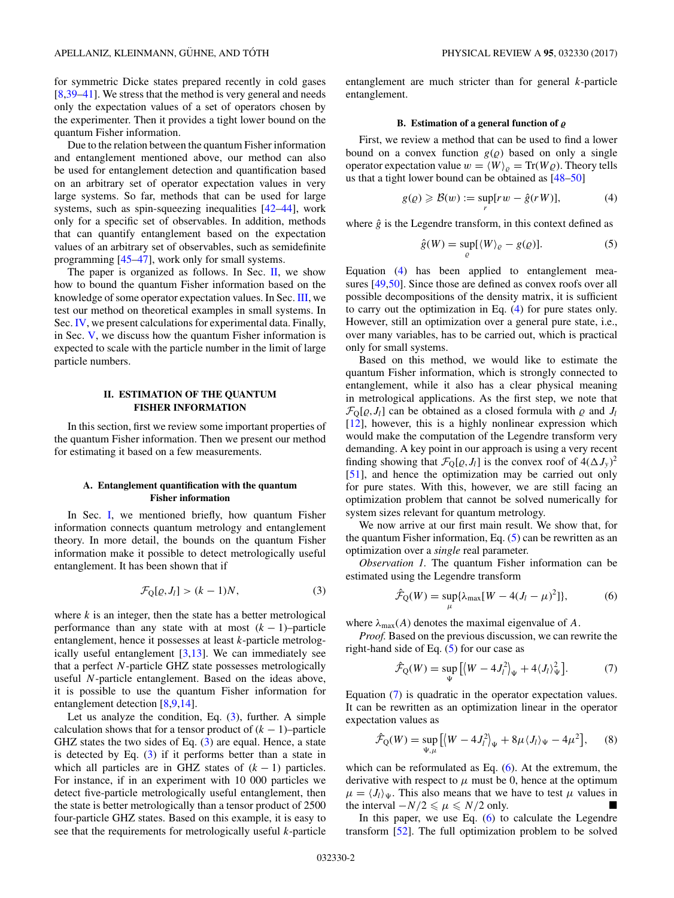<span id="page-1-0"></span>for symmetric Dicke states prepared recently in cold gases [\[8](#page-11-0)[,39–41\]](#page-12-0). We stress that the method is very general and needs only the expectation values of a set of operators chosen by the experimenter. Then it provides a tight lower bound on the quantum Fisher information.

Due to the relation between the quantum Fisher information and entanglement mentioned above, our method can also be used for entanglement detection and quantification based on an arbitrary set of operator expectation values in very large systems. So far, methods that can be used for large systems, such as spin-squeezing inequalities [\[42–44\]](#page-12-0), work only for a specific set of observables. In addition, methods that can quantify entanglement based on the expectation values of an arbitrary set of observables, such as semidefinite programming [\[45–47\]](#page-12-0), work only for small systems.

The paper is organized as follows. In Sec.  $II$ , we show how to bound the quantum Fisher information based on the knowledge of some operator expectation values. In Sec. [III,](#page-2-0) we test our method on theoretical examples in small systems. In Sec. [IV,](#page-4-0) we present calculations for experimental data. Finally, in Sec. [V,](#page-6-0) we discuss how the quantum Fisher information is expected to scale with the particle number in the limit of large particle numbers.

## **II. ESTIMATION OF THE QUANTUM FISHER INFORMATION**

In this section, first we review some important properties of the quantum Fisher information. Then we present our method for estimating it based on a few measurements.

# **A. Entanglement quantification with the quantum Fisher information**

In Sec. [I,](#page-0-0) we mentioned briefly, how quantum Fisher information connects quantum metrology and entanglement theory. In more detail, the bounds on the quantum Fisher information make it possible to detect metrologically useful entanglement. It has been shown that if

$$
\mathcal{F}_{Q}[\varrho, J_{l}] > (k-1)N, \tag{3}
$$

where  $k$  is an integer, then the state has a better metrological performance than any state with at most  $(k - 1)$ –particle entanglement, hence it possesses at least *k*-particle metrologically useful entanglement  $[3,13]$ . We can immediately see that a perfect *N*-particle GHZ state possesses metrologically useful *N*-particle entanglement. Based on the ideas above, it is possible to use the quantum Fisher information for entanglement detection [\[8,9,14\]](#page-11-0).

Let us analyze the condition, Eq.  $(3)$ , further. A simple calculation shows that for a tensor product of  $(k - 1)$ –particle GHZ states the two sides of Eq. (3) are equal. Hence, a state is detected by Eq. (3) if it performs better than a state in which all particles are in GHZ states of  $(k - 1)$  particles. For instance, if in an experiment with 10 000 particles we detect five-particle metrologically useful entanglement, then the state is better metrologically than a tensor product of 2500 four-particle GHZ states. Based on this example, it is easy to see that the requirements for metrologically useful *k*-particle entanglement are much stricter than for general *k*-particle entanglement.

#### B. Estimation of a general function of  $\rho$

First, we review a method that can be used to find a lower bound on a convex function  $g(\rho)$  based on only a single operator expectation value  $w = \langle W \rangle_{\rho} = \text{Tr}(W \rho)$ . Theory tells us that a tight lower bound can be obtained as [\[48–50\]](#page-12-0)

$$
g(\varrho) \geqslant \mathcal{B}(w) := \sup_{r} [rw - \hat{g}(rW)],\tag{4}
$$

where  $\hat{g}$  is the Legendre transform, in this context defined as

$$
\hat{g}(W) = \sup_{\varrho} \left[ \langle W \rangle_{\varrho} - g(\varrho) \right]. \tag{5}
$$

Equation (4) has been applied to entanglement measures [\[49,50\]](#page-12-0). Since those are defined as convex roofs over all possible decompositions of the density matrix, it is sufficient to carry out the optimization in Eq. (4) for pure states only. However, still an optimization over a general pure state, i.e., over many variables, has to be carried out, which is practical only for small systems.

Based on this method, we would like to estimate the quantum Fisher information, which is strongly connected to entanglement, while it also has a clear physical meaning in metrological applications. As the first step, we note that  $\mathcal{F}_{\text{Q}}[\varrho, J_l]$  can be obtained as a closed formula with  $\varrho$  and  $J_l$ [\[12\]](#page-11-0), however, this is a highly nonlinear expression which would make the computation of the Legendre transform very demanding. A key point in our approach is using a very recent finding showing that  $\mathcal{F}_{Q}[\varrho, J_{l}]$  is the convex roof of  $4(\Delta J_{y})^{2}$ [\[51\]](#page-12-0), and hence the optimization may be carried out only for pure states. With this, however, we are still facing an optimization problem that cannot be solved numerically for system sizes relevant for quantum metrology.

We now arrive at our first main result. We show that, for the quantum Fisher information, Eq. (5) can be rewritten as an optimization over a *single* real parameter.

*Observation 1.* The quantum Fisher information can be estimated using the Legendre transform

$$
\hat{\mathcal{F}}_{Q}(W) = \sup_{\mu} \{ \lambda_{\max} [W - 4(J_{l} - \mu)^{2}] \}, \tag{6}
$$

where  $\lambda_{\text{max}}(A)$  denotes the maximal eigenvalue of A.

*Proof.* Based on the previous discussion, we can rewrite the right-hand side of Eq.  $(5)$  for our case as

$$
\hat{\mathcal{F}}_{Q}(W) = \sup_{\Psi} \left[ \left\langle W - 4J_{l}^{2} \right\rangle_{\Psi} + 4\langle J_{l} \rangle_{\Psi}^{2} \right]. \tag{7}
$$

Equation (7) is quadratic in the operator expectation values. It can be rewritten as an optimization linear in the operator expectation values as

$$
\hat{\mathcal{F}}_{Q}(W) = \sup_{\Psi,\mu} \left[ \left\langle W - 4J_{l}^{2} \right\rangle_{\Psi} + 8\mu \langle J_{l} \rangle_{\Psi} - 4\mu^{2} \right], \quad (8)
$$

which can be reformulated as Eq. (6). At the extremum, the derivative with respect to  $\mu$  must be 0, hence at the optimum  $\mu = \langle J_l \rangle_{\Psi}$ . This also means that we have to test  $\mu$  values in the interval  $-N/2 \le \mu \le N/2$  only.

In this paper, we use Eq.  $(6)$  to calculate the Legendre transform [\[52\]](#page-12-0). The full optimization problem to be solved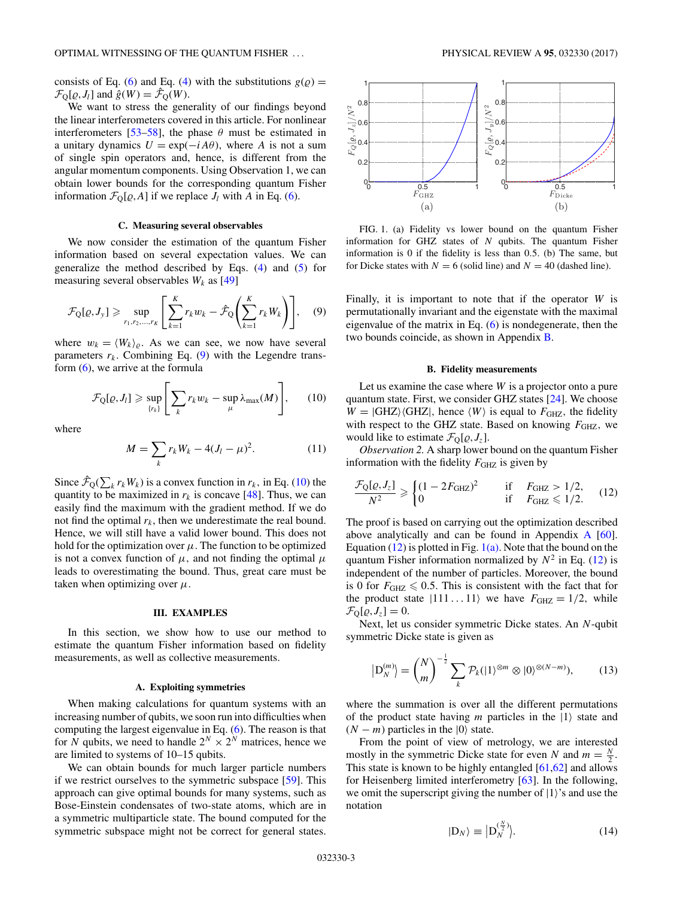<span id="page-2-0"></span>consists of Eq. [\(6\)](#page-1-0) and Eq. [\(4\)](#page-1-0) with the substitutions  $g(\rho)$  =  $\mathcal{F}_{\mathbb{Q}}[\varrho, J_l]$  and  $\hat{g}(W) = \hat{\mathcal{F}}_{\mathbb{Q}}(W)$ .

We want to stress the generality of our findings beyond the linear interferometers covered in this article. For nonlinear interferometers [\[53–58\]](#page-12-0), the phase  $\theta$  must be estimated in a unitary dynamics  $U = \exp(-iA\theta)$ , where *A* is not a sum of single spin operators and, hence, is different from the angular momentum components. Using Observation 1, we can obtain lower bounds for the corresponding quantum Fisher information  $\mathcal{F}_{Q}[\varrho, A]$  if we replace  $J_{l}$  with  $A$  in Eq. [\(6\)](#page-1-0).

## **C. Measuring several observables**

We now consider the estimation of the quantum Fisher information based on several expectation values. We can generalize the method described by Eqs. [\(4\)](#page-1-0) and [\(5\)](#page-1-0) for measuring several observables  $W_k$  as [\[49\]](#page-12-0)

$$
\mathcal{F}_{\mathbf{Q}}[\varrho, J_{y}] \geqslant \sup_{r_{1}, r_{2}, \dots, r_{K}} \left[ \sum_{k=1}^{K} r_{k} w_{k} - \hat{\mathcal{F}}_{\mathbf{Q}} \left( \sum_{k=1}^{K} r_{k} W_{k} \right) \right], \quad (9)
$$

where  $w_k = \langle W_k \rangle_{\rho}$ . As we can see, we now have several parameters  $r_k$ . Combining Eq.  $(9)$  with the Legendre transform  $(6)$ , we arrive at the formula

$$
\mathcal{F}_{\text{Q}}[\varrho, J_{l}] \geqslant \sup_{\{r_{k}\}} \Bigg[ \sum_{k} r_{k} w_{k} - \sup_{\mu} \lambda_{\max}(M) \Bigg], \qquad (10)
$$

where

$$
M = \sum_{k} r_{k} W_{k} - 4(J_{l} - \mu)^{2}.
$$
 (11)

Since  $\hat{\mathcal{F}}_{Q}(\sum_{k} r_{k}W_{k})$  is a convex function in  $r_{k}$ , in Eq. (10) the quantity to be maximized in  $r_k$  is concave [\[48\]](#page-12-0). Thus, we can easily find the maximum with the gradient method. If we do not find the optimal  $r_k$ , then we underestimate the real bound. Hence, we will still have a valid lower bound. This does not hold for the optimization over  $\mu$ . The function to be optimized is not a convex function of  $\mu$ , and not finding the optimal  $\mu$ leads to overestimating the bound. Thus, great care must be taken when optimizing over  $\mu$ .

## **III. EXAMPLES**

In this section, we show how to use our method to estimate the quantum Fisher information based on fidelity measurements, as well as collective measurements.

#### **A. Exploiting symmetries**

When making calculations for quantum systems with an increasing number of qubits, we soon run into difficulties when computing the largest eigenvalue in Eq. [\(6\)](#page-1-0). The reason is that for *N* qubits, we need to handle  $2^N \times 2^N$  matrices, hence we are limited to systems of 10–15 qubits.

We can obtain bounds for much larger particle numbers if we restrict ourselves to the symmetric subspace [\[59\]](#page-12-0). This approach can give optimal bounds for many systems, such as Bose-Einstein condensates of two-state atoms, which are in a symmetric multiparticle state. The bound computed for the symmetric subspace might not be correct for general states.



FIG. 1. (a) Fidelity vs lower bound on the quantum Fisher information for GHZ states of *N* qubits. The quantum Fisher information is 0 if the fidelity is less than 0*.*5*.* (b) The same, but for Dicke states with  $N = 6$  (solid line) and  $N = 40$  (dashed line).

Finally, it is important to note that if the operator *W* is permutationally invariant and the eigenstate with the maximal eigenvalue of the matrix in Eq.  $(6)$  is nondegenerate, then the two bounds coincide, as shown in Appendix [B.](#page-7-0)

### **B. Fidelity measurements**

Let us examine the case where *W* is a projector onto a pure quantum state. First, we consider GHZ states [\[24\]](#page-11-0). We choose  $W = |GHZ\rangle\langle GHZ|$ , hence  $\langle W \rangle$  is equal to  $F_{GHZ}$ , the fidelity with respect to the GHZ state. Based on knowing  $F_{GHZ}$ , we would like to estimate  $\mathcal{F}_Q[\varrho, J_z]$ .

*Observation 2.* A sharp lower bound on the quantum Fisher information with the fidelity  $F_{GHZ}$  is given by

$$
\frac{\mathcal{F}_{\text{Q}}[\varrho, J_z]}{N^2} \geq \begin{cases} (1 - 2F_{\text{GHZ}})^2 & \text{if } F_{\text{GHZ}} > 1/2, \\ 0 & \text{if } F_{\text{GHZ}} \leq 1/2. \end{cases} \tag{12}
$$

The proof is based on carrying out the optimization described above analytically and can be found in Appendix [A](#page-6-0) [\[60\]](#page-12-0). Equation (12) is plotted in Fig.  $1(a)$ . Note that the bound on the quantum Fisher information normalized by  $N^2$  in Eq. (12) is independent of the number of particles. Moreover, the bound is 0 for  $F_{\text{GHZ}} \leq 0.5$ . This is consistent with the fact that for the product state  $|111...11\rangle$  we have  $F_{\text{GHZ}} = 1/2$ , while  $\mathcal{F}_{\text{Q}}[\varrho, J_z] = 0.$ 

Next, let us consider symmetric Dicke states. An *N*-qubit symmetric Dicke state is given as

$$
\left| \mathcal{D}_N^{(m)} \right\rangle = \binom{N}{m}^{-\frac{1}{2}} \sum_k \mathcal{P}_k(|1\rangle^{\otimes m} \otimes |0\rangle^{\otimes (N-m)}),\tag{13}
$$

where the summation is over all the different permutations of the product state having  $m$  particles in the  $|1\rangle$  state and  $(N - m)$  particles in the  $|0\rangle$  state.

From the point of view of metrology, we are interested mostly in the symmetric Dicke state for even *N* and  $m = \frac{N}{2}$ . This state is known to be highly entangled  $[61,62]$  and allows for Heisenberg limited interferometry [\[63\]](#page-12-0). In the following, we omit the superscript giving the number of  $|1\rangle$ 's and use the notation

$$
|\mathcal{D}_N\rangle \equiv \Big| \mathcal{D}_N^{(\frac{N}{2})} \Big| \tag{14}
$$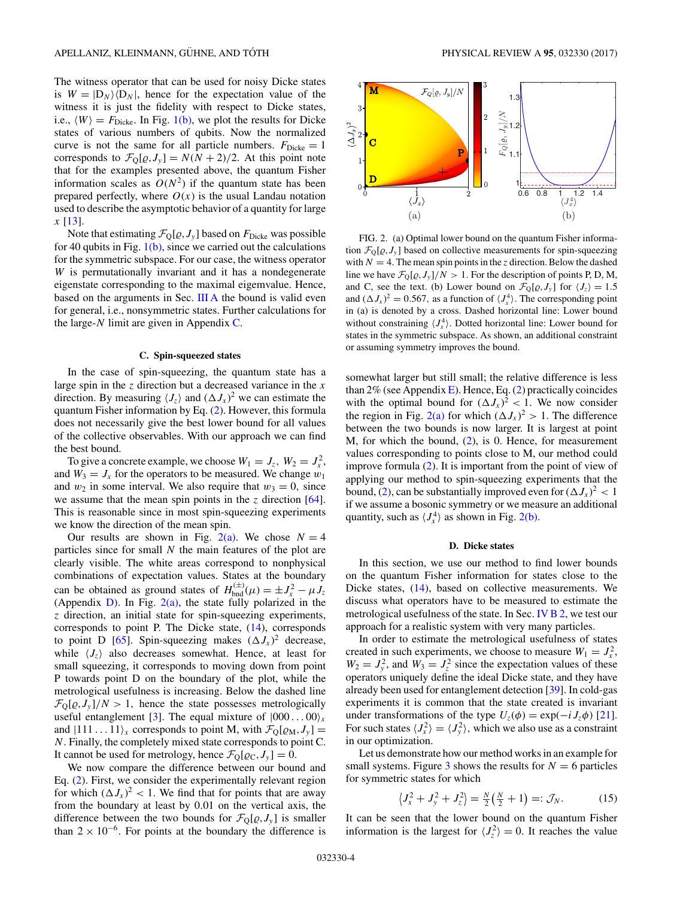<span id="page-3-0"></span>The witness operator that can be used for noisy Dicke states is  $W = |D_N\rangle \langle D_N|$ , hence for the expectation value of the witness it is just the fidelity with respect to Dicke states, i.e.,  $\langle W \rangle = F_{\text{Dicke}}$ . In Fig. [1\(b\),](#page-2-0) we plot the results for Dicke states of various numbers of qubits. Now the normalized curve is not the same for all particle numbers.  $F_{\text{Dicke}} = 1$ corresponds to  $\mathcal{F}_{Q}[\varrho, J_{y}] = N(N + 2)/2$ . At this point note that for the examples presented above, the quantum Fisher information scales as  $O(N^2)$  if the quantum state has been prepared perfectly, where  $O(x)$  is the usual Landau notation used to describe the asymptotic behavior of a quantity for large *x* [\[13\]](#page-11-0).

Note that estimating  $\mathcal{F}_{Q}[\varrho, J_{y}]$  based on  $F_{\text{Dicke}}$  was possible for 40 qubits in Fig.  $1(b)$ , since we carried out the calculations for the symmetric subspace. For our case, the witness operator *W* is permutationally invariant and it has a nondegenerate eigenstate corresponding to the maximal eigemvalue. Hence, based on the arguments in Sec. [III A](#page-2-0) the bound is valid even for general, i.e., nonsymmetric states. Further calculations for the large-*N* limit are given in Appendix [C.](#page-7-0)

## **C. Spin-squeezed states**

In the case of spin-squeezing, the quantum state has a large spin in the *z* direction but a decreased variance in the *x* direction. By measuring  $\langle J_z \rangle$  and  $(\Delta J_x)^2$  we can estimate the quantum Fisher information by Eq. [\(2\)](#page-0-0). However, this formula does not necessarily give the best lower bound for all values of the collective observables. With our approach we can find the best bound.

To give a concrete example, we choose  $W_1 = J_z$ ,  $W_2 = J_x^2$ , and  $W_3 = J_x$  for the operators to be measured. We change  $w_1$ and  $w_2$  in some interval. We also require that  $w_3 = 0$ , since we assume that the mean spin points in the *z* direction [\[64\]](#page-12-0). This is reasonable since in most spin-squeezing experiments we know the direction of the mean spin.

Our results are shown in Fig.  $2(a)$ . We chose  $N = 4$ particles since for small *N* the main features of the plot are clearly visible. The white areas correspond to nonphysical combinations of expectation values. States at the boundary can be obtained as ground states of  $H_{\text{bnd}}^{(\pm)}(\mu) = \pm J_x^2 - \mu J_z$ (Appendix [D\)](#page-8-0). In Fig.  $2(a)$ , the state fully polarized in the *z* direction, an initial state for spin-squeezing experiments, corresponds to point P. The Dicke state, [\(14\)](#page-2-0), corresponds to point D [\[65\]](#page-12-0). Spin-squeezing makes  $(\Delta J_x)^2$  decrease, while  $\langle J_z \rangle$  also decreases somewhat. Hence, at least for small squeezing, it corresponds to moving down from point P towards point D on the boundary of the plot, while the metrological usefulness is increasing. Below the dashed line  $\mathcal{F}_{\text{Q}}[\varrho, J_{y}]/N > 1$ , hence the state possesses metrologically useful entanglement [\[3\]](#page-11-0). The equal mixture of  $|000...00\rangle_x$ and  $|111 \dots 11\rangle_x$  corresponds to point M, with  $\mathcal{F}_Q[\varrho_M, J_y] =$ *N.* Finally, the completely mixed state corresponds to point C. It cannot be used for metrology, hence  $\mathcal{F}_Q[\varrho_C, J_y] = 0$ .

We now compare the difference between our bound and Eq. [\(2\)](#page-0-0). First, we consider the experimentally relevant region for which  $(\Delta J_x)^2 < 1$ . We find that for points that are away from the boundary at least by 0*.*01 on the vertical axis, the difference between the two bounds for  $\mathcal{F}_{Q}[\varrho, J_{y}]$  is smaller than  $2 \times 10^{-6}$ . For points at the boundary the difference is



FIG. 2. (a) Optimal lower bound on the quantum Fisher information  $\mathcal{F}_{Q}[\varrho, J_{y}]$  based on collective measurements for spin-squeezing with  $N = 4$ . The mean spin points in the *z* direction. Below the dashed line we have  $\mathcal{F}_{Q}[\varrho, J_{y}]/N > 1$ . For the description of points P, D, M, and C, see the text. (b) Lower bound on  $\mathcal{F}_{Q}[\varrho, J_{y}]$  for  $\langle J_{z} \rangle = 1.5$ and  $(\Delta J_x)^2 = 0.567$ , as a function of  $\langle J_x^4 \rangle$ . The corresponding point in (a) is denoted by a cross. Dashed horizontal line: Lower bound without constraining  $\langle J_x^4 \rangle$ . Dotted horizontal line: Lower bound for states in the symmetric subspace. As shown, an additional constraint or assuming symmetry improves the bound.

somewhat larger but still small; the relative difference is less than 2% (see Appendix [E\)](#page-8-0). Hence, Eq.  $(2)$  practically coincides with the optimal bound for  $(\Delta J_x)^2 < 1$ . We now consider the region in Fig. 2(a) for which  $(\Delta J_x)^2 > 1$ . The difference between the two bounds is now larger. It is largest at point M, for which the bound,  $(2)$ , is 0. Hence, for measurement values corresponding to points close to M, our method could improve formula [\(2\)](#page-0-0). It is important from the point of view of applying our method to spin-squeezing experiments that the bound, [\(2\)](#page-0-0), can be substantially improved even for  $(\Delta J_x)^2 < 1$ if we assume a bosonic symmetry or we measure an additional quantity, such as  $\langle J_x^4 \rangle$  as shown in Fig. 2(b).

#### **D. Dicke states**

In this section, we use our method to find lower bounds on the quantum Fisher information for states close to the Dicke states, [\(14\)](#page-2-0), based on collective measurements. We discuss what operators have to be measured to estimate the metrological usefulness of the state. In Sec. [IV B 2,](#page-5-0) we test our approach for a realistic system with very many particles.

In order to estimate the metrological usefulness of states created in such experiments, we choose to measure  $W_1 = J_x^2$ ,  $W_2 = J_y^2$ , and  $W_3 = J_z^2$  since the expectation values of these operators uniquely define the ideal Dicke state, and they have already been used for entanglement detection [\[39\]](#page-12-0). In cold-gas experiments it is common that the state created is invariant under transformations of the type  $U_z(\phi) = \exp(-i J_z \phi)$  [\[21\]](#page-11-0). For such states  $\langle J_x^2 \rangle = \langle J_y^2 \rangle$ , which we also use as a constraint in our optimization.

Let us demonstrate how our method works in an example for small systems. Figure  $3$  shows the results for  $N = 6$  particles for symmetric states for which

$$
\left\langle J_x^2 + J_y^2 + J_z^2 \right\rangle = \frac{N}{2} \left( \frac{N}{2} + 1 \right) =: \mathcal{J}_N. \tag{15}
$$

It can be seen that the lower bound on the quantum Fisher information is the largest for  $\langle J_z^2 \rangle = 0$ . It reaches the value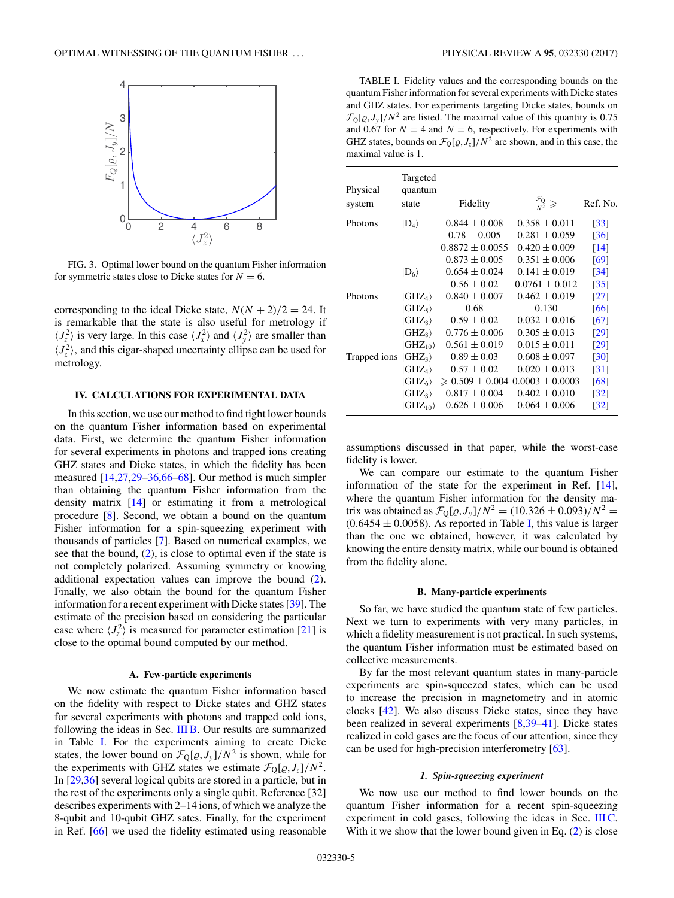<span id="page-4-0"></span>

FIG. 3. Optimal lower bound on the quantum Fisher information for symmetric states close to Dicke states for  $N = 6$ .

corresponding to the ideal Dicke state,  $N(N + 2)/2 = 24$ . It is remarkable that the state is also useful for metrology if  $\langle J_z^2 \rangle$  is very large. In this case  $\langle J_x^2 \rangle$  and  $\langle J_y^2 \rangle$  are smaller than  $\langle J_z^2 \rangle$ , and this cigar-shaped uncertainty ellipse can be used for metrology.

## **IV. CALCULATIONS FOR EXPERIMENTAL DATA**

In this section, we use our method to find tight lower bounds on the quantum Fisher information based on experimental data. First, we determine the quantum Fisher information for several experiments in photons and trapped ions creating GHZ states and Dicke states, in which the fidelity has been measured [\[14,27](#page-11-0)[,29–36,66–68\]](#page-12-0). Our method is much simpler than obtaining the quantum Fisher information from the density matrix [\[14\]](#page-11-0) or estimating it from a metrological procedure [\[8\]](#page-11-0). Second, we obtain a bound on the quantum Fisher information for a spin-squeezing experiment with thousands of particles [\[7\]](#page-11-0). Based on numerical examples, we see that the bound,  $(2)$ , is close to optimal even if the state is not completely polarized. Assuming symmetry or knowing additional expectation values can improve the bound [\(2\)](#page-0-0). Finally, we also obtain the bound for the quantum Fisher information for a recent experiment with Dicke states [\[39\]](#page-12-0). The estimate of the precision based on considering the particular case where  $\langle J_z^2 \rangle$  is measured for parameter estimation [\[21\]](#page-11-0) is close to the optimal bound computed by our method.

### **A. Few-particle experiments**

We now estimate the quantum Fisher information based on the fidelity with respect to Dicke states and GHZ states for several experiments with photons and trapped cold ions, following the ideas in Sec.  $IIIB$ . Our results are summarized in Table I. For the experiments aiming to create Dicke states, the lower bound on  $\mathcal{F}_{Q}[\varrho, J_{y}]/N^2$  is shown, while for the experiments with GHZ states we estimate  $\mathcal{F}_{Q}[\varrho, J_{z}]/N^{2}$ . In [\[29,36\]](#page-12-0) several logical qubits are stored in a particle, but in the rest of the experiments only a single qubit. Reference [32] describes experiments with 2–14 ions, of which we analyze the 8-qubit and 10-qubit GHZ sates. Finally, for the experiment in Ref. [\[66\]](#page-12-0) we used the fidelity estimated using reasonable

TABLE I. Fidelity values and the corresponding bounds on the quantum Fisher information for several experiments with Dicke states and GHZ states. For experiments targeting Dicke states, bounds on  $\mathcal{F}_{\text{Q}}[\varrho, J_y]/N^2$  are listed. The maximal value of this quantity is 0.75 and 0.67 for  $N = 4$  and  $N = 6$ , respectively. For experiments with GHZ states, bounds on  $\mathcal{F}_{Q}[\varrho, J_{z}]/N^2$  are shown, and in this case, the maximal value is 1*.*

| Physical<br>system | Targeted<br>quantum<br>state      | Fidelity                                        | $rac{\mathcal{F}_Q}{N^2} \geqslant$ | Ref. No.           |
|--------------------|-----------------------------------|-------------------------------------------------|-------------------------------------|--------------------|
| <b>Photons</b>     | $ D_4\rangle$                     | $0.844 \pm 0.008$                               | $0.358 \pm 0.011$                   | $\lceil 33 \rceil$ |
|                    |                                   | $0.78 \pm 0.005$                                | $0.281 \pm 0.059$                   | [36]               |
|                    |                                   | $0.8872 \pm 0.0055$                             | $0.420 \pm 0.009$                   | [14]               |
|                    |                                   | $0.873 \pm 0.005$                               | $0.351 \pm 0.006$                   | [69]               |
|                    | $ D_6\rangle$                     | $0.654 \pm 0.024$                               | $0.141 \pm 0.019$                   | $\left[34\right]$  |
|                    |                                   | $0.56 \pm 0.02$                                 | $0.0761 \pm 0.012$                  | $\left[35\right]$  |
| Photons            | $ GHZ_4\rangle$                   | $0.840 \pm 0.007$                               | $0.462 \pm 0.019$                   | $\left[27\right]$  |
|                    | $ GHZ_5\rangle$                   | 0.68                                            | 0.130                               | [66]               |
|                    | $ GHZ_8\rangle$                   | $0.59 \pm 0.02$                                 | $0.032 \pm 0.016$                   | [67]               |
|                    | $ GHZ_8\rangle$                   | $0.776 \pm 0.006$                               | $0.305 \pm 0.013$                   | $\lceil 29 \rceil$ |
|                    | $ GHZ_{10}\rangle$                | $0.561 \pm 0.019$                               | $0.015 \pm 0.011$                   | [29]               |
| Trapped ions       | $ GHZ_3\rangle$                   | $0.89 \pm 0.03$                                 | $0.608 \pm 0.097$                   | $\lceil 30 \rceil$ |
|                    | $ {\rm GHZ}_4\rangle$             | $0.57 \pm 0.02$                                 | $0.020 \pm 0.013$                   | [31]               |
|                    | $GHZ_6$                           | $\geqslant 0.509 \pm 0.004$ 0.0003 $\pm$ 0.0003 |                                     | [68]               |
|                    | $ GHZ_8\rangle$                   | $0.817 \pm 0.004$                               | $0.402 \pm 0.010$                   | $\left[32\right]$  |
|                    | $\langle \text{GHZ}_{10} \rangle$ | $0.626 \pm 0.006$                               | $0.064 \pm 0.006$                   | $\left[32\right]$  |

assumptions discussed in that paper, while the worst-case fidelity is lower.

We can compare our estimate to the quantum Fisher information of the state for the experiment in Ref. [\[14\]](#page-11-0), where the quantum Fisher information for the density matrix was obtained as  $\mathcal{F}_{Q}[\varrho, J_{y}]/N^2 = (10.326 \pm 0.093)/N^2 =$  $(0.6454 \pm 0.0058)$ . As reported in Table I, this value is larger than the one we obtained, however, it was calculated by knowing the entire density matrix, while our bound is obtained from the fidelity alone.

### **B. Many-particle experiments**

So far, we have studied the quantum state of few particles. Next we turn to experiments with very many particles, in which a fidelity measurement is not practical. In such systems, the quantum Fisher information must be estimated based on collective measurements.

By far the most relevant quantum states in many-particle experiments are spin-squeezed states, which can be used to increase the precision in magnetometry and in atomic clocks [\[42\]](#page-12-0). We also discuss Dicke states, since they have been realized in several experiments [\[8,](#page-11-0)[39–41\]](#page-12-0). Dicke states realized in cold gases are the focus of our attention, since they can be used for high-precision interferometry [\[63\]](#page-12-0).

## *1. Spin-squeezing experiment*

We now use our method to find lower bounds on the quantum Fisher information for a recent spin-squeezing experiment in cold gases, following the ideas in Sec. [III C.](#page-3-0) With it we show that the lower bound given in Eq. [\(2\)](#page-0-0) is close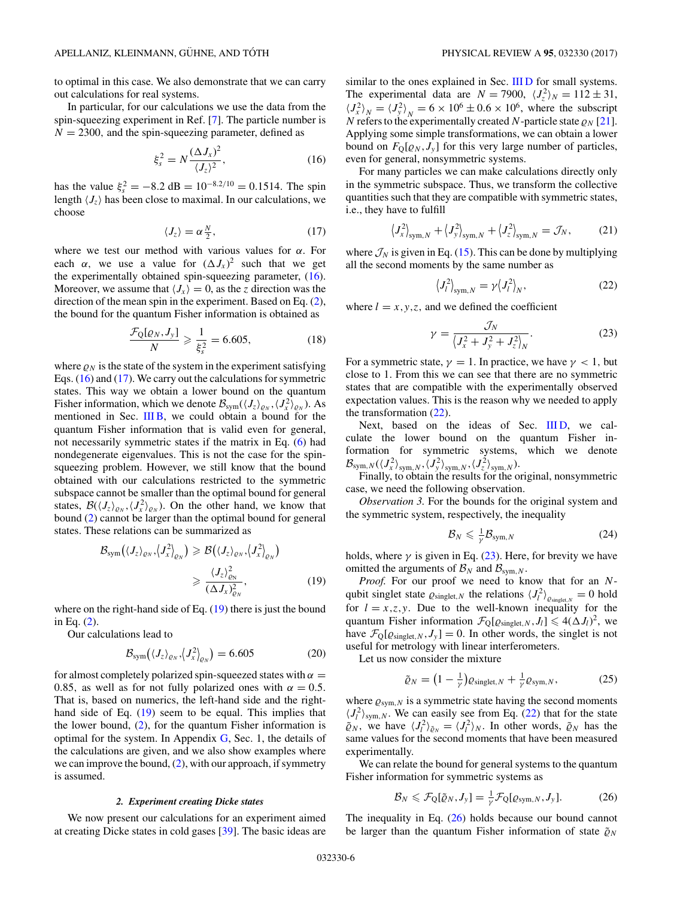<span id="page-5-0"></span>to optimal in this case. We also demonstrate that we can carry out calculations for real systems.

In particular, for our calculations we use the data from the spin-squeezing experiment in Ref. [\[7\]](#page-11-0). The particle number is  $N = 2300$ , and the spin-squeezing parameter, defined as

$$
\xi_s^2 = N \frac{(\Delta J_x)^2}{\langle J_z \rangle^2},\tag{16}
$$

has the value  $\xi_s^2 = -8.2$  dB =  $10^{-8.2/10} = 0.1514$ . The spin length  $\langle J_z \rangle$  has been close to maximal. In our calculations, we choose

$$
\langle J_z \rangle = \alpha \frac{N}{2},\tag{17}
$$

where we test our method with various values for *α.* For each  $\alpha$ , we use a value for  $(\Delta J_x)^2$  such that we get the experimentally obtained spin-squeezing parameter, (16). Moreover, we assume that  $\langle J_x \rangle = 0$ , as the *z* direction was the direction of the mean spin in the experiment. Based on Eq. [\(2\)](#page-0-0), the bound for the quantum Fisher information is obtained as

$$
\frac{\mathcal{F}_Q[\varrho_N, J_y]}{N} \geqslant \frac{1}{\xi_s^2} = 6.605,\tag{18}
$$

where  $\rho_N$  is the state of the system in the experiment satisfying Eqs. (16) and (17). We carry out the calculations for symmetric states. This way we obtain a lower bound on the quantum Fisher information, which we denote  $\mathcal{B}_{sym}(\langle J_z \rangle_{\varrho_N}, \langle J_x^2 \rangle_{\varrho_N})$ . As mentioned in Sec. [III B,](#page-2-0) we could obtain a bound for the quantum Fisher information that is valid even for general, not necessarily symmetric states if the matrix in Eq. [\(6\)](#page-1-0) had nondegenerate eigenvalues. This is not the case for the spinsqueezing problem. However, we still know that the bound obtained with our calculations restricted to the symmetric subspace cannot be smaller than the optimal bound for general states,  $\mathcal{B}(\langle J_z \rangle_{\varrho_N}, \langle J_x^2 \rangle_{\varrho_N})$ . On the other hand, we know that bound [\(2\)](#page-0-0) cannot be larger than the optimal bound for general states. These relations can be summarized as

$$
\mathcal{B}_{sym}(\langle J_z \rangle_{\varrho_N}, \langle J_x^2 \rangle_{\varrho_N}) \geqslant \mathcal{B}(\langle J_z \rangle_{\varrho_N}, \langle J_x^2 \rangle_{\varrho_N})
$$
\n
$$
\geqslant \frac{\langle J_z \rangle_{\varrho_N}^2}{(\Delta J_x)_{\varrho_N}^2}, \tag{19}
$$

where on the right-hand side of Eq.  $(19)$  there is just the bound in Eq. [\(2\)](#page-0-0).

Our calculations lead to

$$
\mathcal{B}_{sym}\left(\langle J_z\rangle_{\varrho_N},\langle J_x^2\rangle_{\varrho_N}\right) = 6.605\tag{20}
$$

for almost completely polarized spin-squeezed states with  $\alpha =$ 0.85, as well as for not fully polarized ones with  $\alpha = 0.5$ . That is, based on numerics, the left-hand side and the righthand side of Eq. (19) seem to be equal. This implies that the lower bound,  $(2)$ , for the quantum Fisher information is optimal for the system. In Appendix  $G$ , Sec. 1, the details of the calculations are given, and we also show examples where we can improve the bound,  $(2)$ , with our approach, if symmetry is assumed.

#### *2. Experiment creating Dicke states*

We now present our calculations for an experiment aimed at creating Dicke states in cold gases [\[39\]](#page-12-0). The basic ideas are

similar to the ones explained in Sec. [III D](#page-3-0) for small systems. The experimental data are  $N = 7900$ ,  $\langle J_z^2 \rangle_N = 112 \pm 31$ ,  $\langle J_x^2 \rangle_N = \langle J_y^2 \rangle_N = 6 \times 10^6 \pm 0.6 \times 10^6$ , where the subscript *N* refers to the experimentally created *N*-particle state  $\varrho_N$  [\[21\]](#page-11-0). Applying some simple transformations, we can obtain a lower bound on  $F_{\mathbb{Q}}[\varrho_N, J_y]$  for this very large number of particles, even for general, nonsymmetric systems.

For many particles we can make calculations directly only in the symmetric subspace. Thus, we transform the collective quantities such that they are compatible with symmetric states, i.e., they have to fulfill

$$
\left\langle J_x^2 \right\rangle_{\text{sym},N} + \left\langle J_y^2 \right\rangle_{\text{sym},N} + \left\langle J_z^2 \right\rangle_{\text{sym},N} = \mathcal{J}_N,\tag{21}
$$

where  $\mathcal{J}_N$  is given in Eq. [\(15\)](#page-3-0). This can be done by multiplying all the second moments by the same number as

$$
\langle J_l^2 \rangle_{\text{sym},N} = \gamma \langle J_l^2 \rangle_N,\tag{22}
$$

where  $l = x, y, z$ , and we defined the coefficient

$$
\gamma = \frac{\mathcal{J}_N}{\left\langle J_x^2 + J_y^2 + J_z^2 \right\rangle_N}.
$$
\n(23)

For a symmetric state,  $\gamma = 1$ . In practice, we have  $\gamma < 1$ , but close to 1*.* From this we can see that there are no symmetric states that are compatible with the experimentally observed expectation values. This is the reason why we needed to apply the transformation (22).

Next, based on the ideas of Sec. IIID, we calculate the lower bound on the quantum Fisher information for symmetric systems, which we denote  $\mathcal{B}_{\text{sym},N}(\langle J_x^2 \rangle_{\text{sym},N}, \langle J_y^2 \rangle_{\text{sym},N}, \langle J_z^2 \rangle_{\text{sym},N}).$ 

Finally, to obtain the results for the original, nonsymmetric case, we need the following observation.

*Observation 3.* For the bounds for the original system and the symmetric system, respectively, the inequality

$$
\mathcal{B}_N \leqslant \frac{1}{\gamma} \mathcal{B}_{\text{sym},N} \tag{24}
$$

holds, where  $\gamma$  is given in Eq. (23). Here, for brevity we have omitted the arguments of  $\mathcal{B}_N$  and  $\mathcal{B}_{sym,N}$ .

*Proof.* For our proof we need to know that for an *N*qubit singlet state  $\varrho_{singlet,N}$  the relations  $\langle J_l^2 \rangle_{\varrho_{singlet,N}} = 0$  hold for  $l = x, z, y$ . Due to the well-known inequality for the quantum Fisher information  $\mathcal{F}_{Q}[\varrho_{singlet,N}, J_{l}] \leq 4(\Delta J_{l})^2$ , we have  $\mathcal{F}_{Q}[\varrho_{singlet,N}, J_{y}] = 0$ . In other words, the singlet is not useful for metrology with linear interferometers.

Let us now consider the mixture

$$
\tilde{\varrho}_N = \left(1 - \frac{1}{\gamma}\right) \varrho_{\text{singlet},N} + \frac{1}{\gamma} \varrho_{\text{sym},N},\tag{25}
$$

where  $\varrho_{sym,N}$  is a symmetric state having the second moments  $\langle J_l^2 \rangle_{sym,N}$ . We can easily see from Eq. (22) that for the state  $\tilde{\varrho}_N$ , we have  $\langle J_l^2 \rangle_{\tilde{\varrho}_N} = \langle J_l^2 \rangle_N$ . In other words,  $\tilde{\varrho}_N$  has the same values for the second moments that have been measured experimentally.

We can relate the bound for general systems to the quantum Fisher information for symmetric systems as

$$
\mathcal{B}_N \leqslant \mathcal{F}_Q[\tilde{\varrho}_N, J_y] = \frac{1}{\gamma} \mathcal{F}_Q[\varrho_{sym,N}, J_y]. \tag{26}
$$

The inequality in Eq. (26) holds because our bound cannot be larger than the quantum Fisher information of state  $\tilde{\varrho}_N$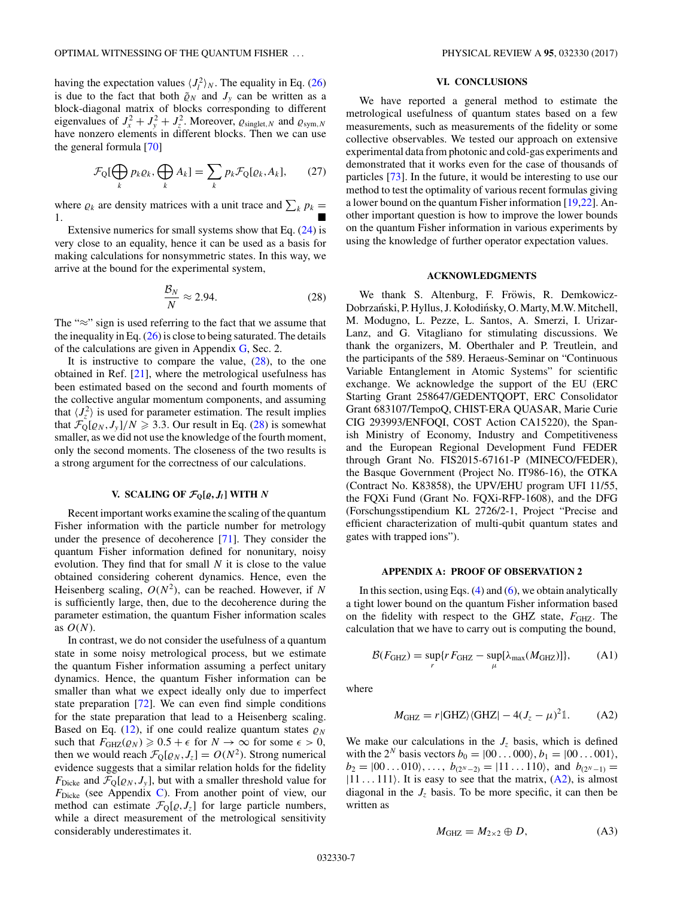<span id="page-6-0"></span>having the expectation values  $\langle J_l^2 \rangle_N$ . The equality in Eq. [\(26\)](#page-5-0) is due to the fact that both  $\tilde{\varrho}_N$  and  $J_y$  can be written as a block-diagonal matrix of blocks corresponding to different eigenvalues of  $J_x^2 + J_y^2 + J_z^2$ . Moreover,  $\varrho_{singlet,N}$  and  $\varrho_{sym,N}$ have nonzero elements in different blocks. Then we can use the general formula [\[70\]](#page-12-0)

$$
\mathcal{F}_{Q}[\bigoplus_{k} p_{k}\varrho_{k}, \bigoplus_{k} A_{k}] = \sum_{k} p_{k}\mathcal{F}_{Q}[\varrho_{k}, A_{k}], \qquad (27)
$$

where  $\rho_k$  are density matrices with a unit trace and  $\sum_k p_k =$ 1*.*

Extensive numerics for small systems show that Eq. [\(24\)](#page-5-0) is very close to an equality, hence it can be used as a basis for making calculations for nonsymmetric states. In this way, we arrive at the bound for the experimental system,

$$
\frac{\mathcal{B}_N}{N} \approx 2.94. \tag{28}
$$

The "≈" sign is used referring to the fact that we assume that the inequality in Eq.  $(26)$  is close to being saturated. The details of the calculations are given in Appendix  $G$ , Sec. 2.

It is instructive to compare the value,  $(28)$ , to the one obtained in Ref. [\[21\]](#page-11-0), where the metrological usefulness has been estimated based on the second and fourth moments of the collective angular momentum components, and assuming that  $\langle J_z^2 \rangle$  is used for parameter estimation. The result implies that  $\mathcal{F}_{Q}[\varrho_{N}, J_{y}]/N \ge 3.3$ . Our result in Eq. (28) is somewhat smaller, as we did not use the knowledge of the fourth moment, only the second moments. The closeness of the two results is a strong argument for the correctness of our calculations.

# **V.** SCALING OF  $\mathcal{F}_{\mathbb{Q}}[\varrho, J_i]$  WITH  $N$

Recent important works examine the scaling of the quantum Fisher information with the particle number for metrology under the presence of decoherence [\[71\]](#page-12-0). They consider the quantum Fisher information defined for nonunitary, noisy evolution. They find that for small *N* it is close to the value obtained considering coherent dynamics. Hence, even the Heisenberg scaling,  $O(N^2)$ , can be reached. However, if N is sufficiently large, then, due to the decoherence during the parameter estimation, the quantum Fisher information scales as  $O(N)$ .

In contrast, we do not consider the usefulness of a quantum state in some noisy metrological process, but we estimate the quantum Fisher information assuming a perfect unitary dynamics. Hence, the quantum Fisher information can be smaller than what we expect ideally only due to imperfect state preparation [\[72\]](#page-12-0). We can even find simple conditions for the state preparation that lead to a Heisenberg scaling. Based on Eq. [\(12\)](#page-2-0), if one could realize quantum states  $\rho_N$ such that  $F_{GHZ}(\rho_N) \geq 0.5 + \epsilon$  for  $N \to \infty$  for some  $\epsilon > 0$ , then we would reach  $\mathcal{F}_{Q}[\varrho_{N}, J_{z}] = O(N^{2})$ . Strong numerical evidence suggests that a similar relation holds for the fidelity  $F_{\text{Dicke}}$  and  $\mathcal{F}_{\text{Q}}[\varrho_N, J_y]$ , but with a smaller threshold value for *F*<sub>Dicke</sub> (see Appendix [C\)](#page-7-0). From another point of view, our method can estimate  $\mathcal{F}_{Q}[\varrho, J_{z}]$  for large particle numbers, while a direct measurement of the metrological sensitivity considerably underestimates it.

## **VI. CONCLUSIONS**

We have reported a general method to estimate the metrological usefulness of quantum states based on a few measurements, such as measurements of the fidelity or some collective observables. We tested our approach on extensive experimental data from photonic and cold-gas experiments and demonstrated that it works even for the case of thousands of particles [\[73\]](#page-12-0). In the future, it would be interesting to use our method to test the optimality of various recent formulas giving a lower bound on the quantum Fisher information [\[19,22\]](#page-11-0). Another important question is how to improve the lower bounds on the quantum Fisher information in various experiments by using the knowledge of further operator expectation values.

## **ACKNOWLEDGMENTS**

We thank S. Altenburg, F. Fröwis, R. Demkowicz-Dobrzański, P. Hyllus, J. Kołodińsky, O. Marty, M.W. Mitchell, M. Modugno, L. Pezze, L. Santos, A. Smerzi, I. Urizar-Lanz, and G. Vitagliano for stimulating discussions. We thank the organizers, M. Oberthaler and P. Treutlein, and the participants of the 589. Heraeus-Seminar on "Continuous Variable Entanglement in Atomic Systems" for scientific exchange. We acknowledge the support of the EU (ERC Starting Grant 258647/GEDENTQOPT, ERC Consolidator Grant 683107/TempoQ, CHIST-ERA QUASAR, Marie Curie CIG 293993/ENFOQI, COST Action CA15220), the Spanish Ministry of Economy, Industry and Competitiveness and the European Regional Development Fund FEDER through Grant No. FIS2015-67161-P (MINECO/FEDER), the Basque Government (Project No. IT986-16), the OTKA (Contract No. K83858), the UPV/EHU program UFI 11/55, the FQXi Fund (Grant No. FQXi-RFP-1608), and the DFG (Forschungsstipendium KL 2726/2-1, Project "Precise and efficient characterization of multi-qubit quantum states and gates with trapped ions").

## **APPENDIX A: PROOF OF OBSERVATION 2**

In this section, using Eqs.  $(4)$  and  $(6)$ , we obtain analytically a tight lower bound on the quantum Fisher information based on the fidelity with respect to the GHZ state,  $F_{GHZ}$ . The calculation that we have to carry out is computing the bound,

$$
\mathcal{B}(F_{\text{GHZ}}) = \sup_{r} \{ r F_{\text{GHZ}} - \sup_{\mu} [\lambda_{\text{max}}(M_{\text{GHZ}})] \},\tag{A1}
$$

where

$$
M_{\text{GHZ}} = r|\text{GHZ}\rangle\langle\text{GHZ}| - 4(J_z - \mu)^2 \mathbb{1}.\tag{A2}
$$

We make our calculations in the  $J_z$  basis, which is defined with the 2<sup>*N*</sup> basis vectors  $b_0 = (00...000), b_1 = (00...001),$  $b_2 = |00...010\rangle, \ldots, b_{(2^N-2)} = |11...110\rangle, \text{ and } b_{(2^N-1)} =$  $|11 \dots 111\rangle$ . It is easy to see that the matrix,  $(A2)$ , is almost diagonal in the  $J<sub>z</sub>$  basis. To be more specific, it can then be written as

$$
M_{\text{GHZ}} = M_{2 \times 2} \oplus D, \tag{A3}
$$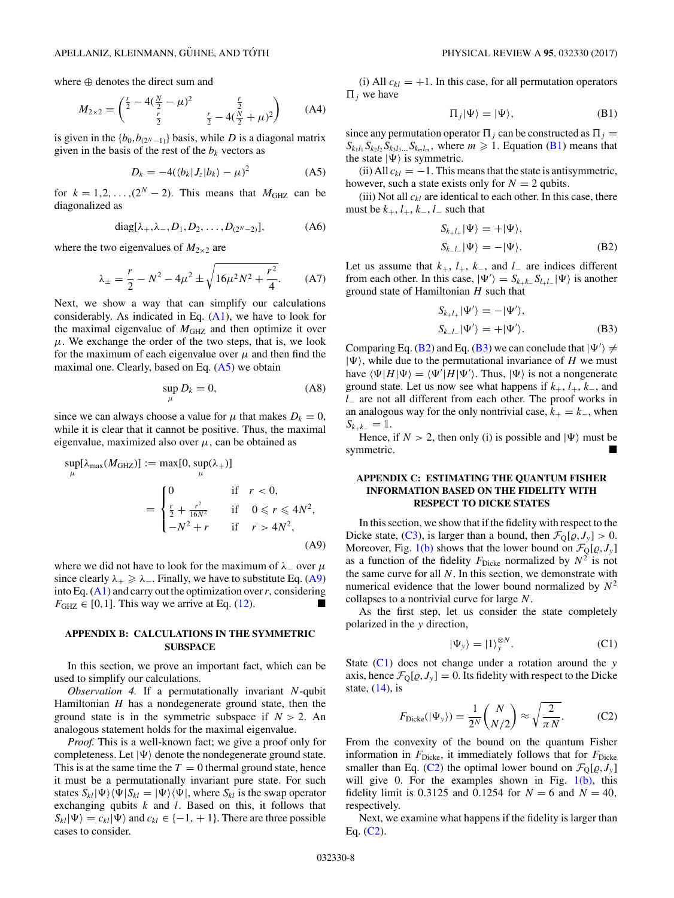<span id="page-7-0"></span>where ⊕ denotes the direct sum and

$$
M_{2\times 2} = \begin{pmatrix} \frac{r}{2} - 4(\frac{N}{2} - \mu)^2 & \frac{r}{2} \\ \frac{r}{2} & \frac{r}{2} - 4(\frac{N}{2} + \mu)^2 \end{pmatrix}
$$
 (A4)

is given in the  ${b_0,b_{(2^N-1)}\}$  basis, while *D* is a diagonal matrix given in the basis of the rest of the  $b_k$  vectors as

$$
D_k = -4(\langle b_k | J_z | b_k \rangle - \mu)^2 \tag{A5}
$$

for  $k = 1, 2, \ldots, (2^N - 2)$ . This means that  $M_{\text{GHZ}}$  can be diagonalized as

diag[
$$
\lambda_+, \lambda_-, D_1, D_2, \ldots, D_{(2^N-2)}]
$$
, (A6)

where the two eigenvalues of  $M_{2\times 2}$  are

$$
\lambda_{\pm} = \frac{r}{2} - N^2 - 4\mu^2 \pm \sqrt{16\mu^2 N^2 + \frac{r^2}{4}}.
$$
 (A7)

Next, we show a way that can simplify our calculations considerably. As indicated in Eq.  $(A1)$ , we have to look for the maximal eigenvalue of  $M_{\text{GHZ}}$  and then optimize it over  $\mu$ . We exchange the order of the two steps, that is, we look for the maximum of each eigenvalue over  $\mu$  and then find the maximal one. Clearly, based on Eq.  $(A5)$  we obtain

$$
\sup_{\mu} D_k = 0,\tag{A8}
$$

since we can always choose a value for  $\mu$  that makes  $D_k = 0$ , while it is clear that it cannot be positive. Thus, the maximal eigenvalue, maximized also over  $\mu$ , can be obtained as

$$
\sup_{\mu}[\lambda_{\max}(M_{\text{GHZ}})] := \max[0, \sup_{\mu}(\lambda_{+})]
$$
  
= 
$$
\begin{cases} 0 & \text{if } r < 0, \\ \frac{r}{2} + \frac{r^{2}}{16N^{2}} & \text{if } 0 \leq r \leq 4N^{2}, \\ -N^{2} + r & \text{if } r > 4N^{2}, \end{cases}
$$
(A9)

where we did not have to look for the maximum of  $\lambda$  over  $\mu$ since clearly  $\lambda_+ \geq \lambda_-$ . Finally, we have to substitute Eq. (A9) into Eq. [\(A1\)](#page-6-0) and carry out the optimization over*r,* considering  $F_{\text{GHZ}} \in [0,1]$ . This way we arrive at Eq. [\(12\)](#page-2-0).

## **APPENDIX B: CALCULATIONS IN THE SYMMETRIC SUBSPACE**

In this section, we prove an important fact, which can be used to simplify our calculations.

*Observation 4.* If a permutationally invariant *N*-qubit Hamiltonian *H* has a nondegenerate ground state, then the ground state is in the symmetric subspace if  $N > 2$ . An analogous statement holds for the maximal eigenvalue.

*Proof.* This is a well-known fact; we give a proof only for completeness. Let  $|\Psi\rangle$  denote the nondegenerate ground state. This is at the same time the  $T = 0$  thermal ground state, hence it must be a permutationally invariant pure state. For such states  $S_{kl} |\Psi\rangle \langle \Psi | S_{kl} = |\Psi\rangle \langle \Psi |$ , where  $S_{kl}$  is the swap operator exchanging qubits *k* and *l.* Based on this, it follows that  $S_{kl}|\Psi\rangle = c_{kl}|\Psi\rangle$  and  $c_{kl} \in \{-1, +1\}$ . There are three possible cases to consider.

(i) All  $c_{kl} = +1$ . In this case, for all permutation operators  $\Pi_i$  we have

$$
\Pi_j|\Psi\rangle = |\Psi\rangle,\tag{B1}
$$

since any permutation operator  $\Pi_i$  can be constructed as  $\Pi_i$  =  $S_{k_1l_1} S_{k_2l_2} S_{k_3l_3} S_{k_ml_m}$ , where  $m \geq 1$ . Equation (B1) means that the state  $|\Psi\rangle$  is symmetric.

(ii) All  $c_{kl} = -1$ . This means that the state is antisymmetric, however, such a state exists only for  $N = 2$  qubits.

(iii) Not all  $c_{kl}$  are identical to each other. In this case, there must be  $k_+$ ,  $l_+$ ,  $k_-$ ,  $l_-$  such that

$$
S_{k+l_{+}}|\Psi\rangle = +|\Psi\rangle,
$$
  
\n
$$
S_{k-l_{-}}|\Psi\rangle = -|\Psi\rangle.
$$
 (B2)

Let us assume that  $k_+$ ,  $l_+$ ,  $k_-$ , and  $l_-$  are indices different from each other. In this case,  $|\Psi'\rangle = S_{k+k-} S_{l+l-} |\Psi\rangle$  is another ground state of Hamiltonian *H* such that

$$
S_{k+l_{+}}|\Psi'\rangle = -|\Psi'\rangle,
$$
  
\n
$$
S_{k-l_{-}}|\Psi'\rangle = +|\Psi'\rangle.
$$
 (B3)

Comparing Eq. (B2) and Eq. (B3) we can conclude that  $|\Psi'\rangle \neq$  $|\Psi\rangle$ , while due to the permutational invariance of *H* we must have  $\langle \Psi | H | \Psi \rangle = \langle \Psi' | H | \Psi' \rangle$ . Thus,  $| \Psi \rangle$  is not a nongenerate ground state. Let us now see what happens if  $k_{+}$ ,  $l_{+}$ ,  $k_{-}$ , and *l*<sup>−</sup> are not all different from each other. The proof works in an analogous way for the only nontrivial case,  $k_{+} = k_{-}$ , when  $S_{k+k-} = \mathbb{1}.$ 

Hence, if  $N > 2$ , then only (i) is possible and  $|\Psi\rangle$  must be symmetric.

# **APPENDIX C: ESTIMATING THE QUANTUM FISHER INFORMATION BASED ON THE FIDELITY WITH RESPECT TO DICKE STATES**

In this section, we show that if the fidelity with respect to the Dicke state, [\(C3\)](#page-8-0), is larger than a bound, then  $\mathcal{F}_Q[\varrho, J_y] > 0$ . Moreover, Fig. [1\(b\)](#page-2-0) shows that the lower bound on  $\mathcal{F}_{Q}[\rho, J_{y}]$ as a function of the fidelity  $F_{\text{Dicke}}$  normalized by  $N^2$  is not the same curve for all *N*. In this section, we demonstrate with numerical evidence that the lower bound normalized by  $N^2$ collapses to a nontrivial curve for large *N*.

As the first step, let us consider the state completely polarized in the *y* direction,

$$
|\Psi_y\rangle = |1\rangle_y^{\otimes N}.
$$
 (C1)

State (C1) does not change under a rotation around the *y* axis, hence  $\mathcal{F}_{Q}[\varrho, J_{y}] = 0$ . Its fidelity with respect to the Dicke state,  $(14)$ , is

$$
F_{\text{Dicke}}(|\Psi_y\rangle) = \frac{1}{2^N} {N \choose N/2} \approx \sqrt{\frac{2}{\pi N}}.
$$
 (C2)

From the convexity of the bound on the quantum Fisher information in  $F_{\text{Dicke}}$ , it immediately follows that for  $F_{\text{Dicke}}$ smaller than Eq. (C2) the optimal lower bound on  $\mathcal{F}_{Q}[\varrho, J_{y}]$ will give 0. For the examples shown in Fig.  $1(b)$ , this fidelity limit is 0.3125 and 0.1254 for  $N = 6$  and  $N = 40$ , respectively.

Next, we examine what happens if the fidelity is larger than Eq.  $(C2)$ .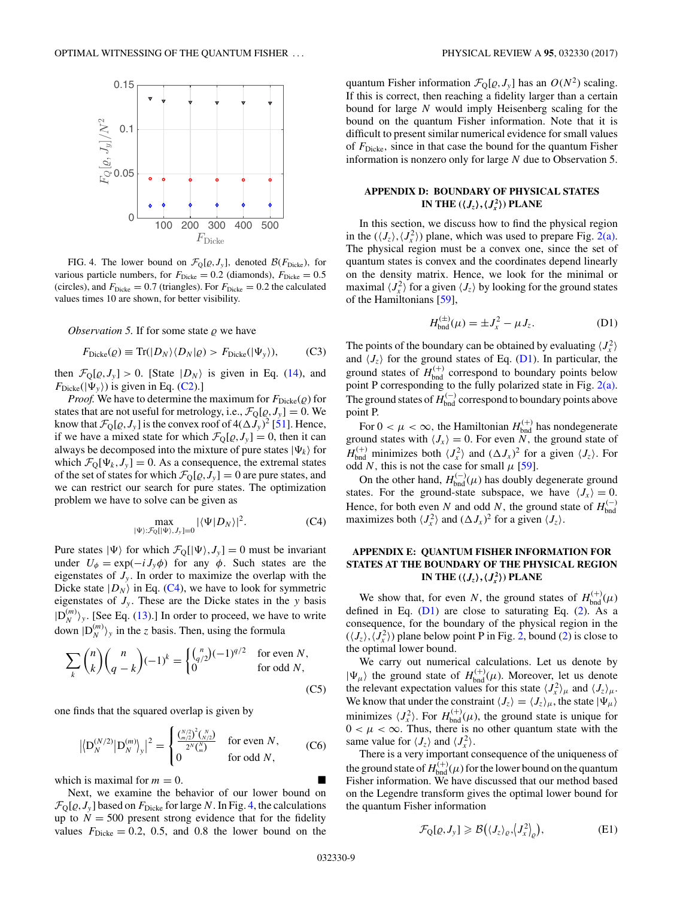<span id="page-8-0"></span>

FIG. 4. The lower bound on  $\mathcal{F}_{Q}[\varrho, J_{y}]$ , denoted  $\mathcal{B}(F_{\text{Dicke}})$ , for various particle numbers, for  $F_{\text{Dicke}} = 0.2$  (diamonds),  $F_{\text{Dicke}} = 0.5$ (circles), and  $F_{\text{Dicke}} = 0.7$  (triangles). For  $F_{\text{Dicke}} = 0.2$  the calculated values times 10 are shown, for better visibility.

Observation 5. If for some state  $\rho$  we have

$$
F_{\text{Dicke}}(Q) \equiv \text{Tr}(|D_N\rangle\langle D_N|Q) > F_{\text{Dicke}}(|\Psi_y\rangle),\tag{C3}
$$

then  $\mathcal{F}_{Q}[\varrho, J_{y}] > 0$ . [State  $|D_{N}\rangle$  is given in Eq. [\(14\)](#page-2-0), and  $F_{\text{Dicke}}(\vert \Psi_{\nu} \rangle)$  is given in Eq. [\(C2\)](#page-7-0).]

*Proof.* We have to determine the maximum for  $F_{\text{Dicke}}(\rho)$  for states that are not useful for metrology, i.e.,  $\mathcal{F}_{Q}[\varrho, J_{y}] = 0$ . We know that  $\mathcal{F}_{Q}[\varrho, J_{y}]$  is the convex roof of  $4(\Delta J_{y})^2$  [\[51\]](#page-12-0). Hence, if we have a mixed state for which  $\mathcal{F}_{\mathbb{Q}}[\varrho, J_{y}] = 0$ , then it can always be decomposed into the mixture of pure states  $|\Psi_k\rangle$  for which  $\mathcal{F}_0[\Psi_k, J_\nu] = 0$ . As a consequence, the extremal states of the set of states for which  $\mathcal{F}_Q[\varrho, J_y] = 0$  are pure states, and we can restrict our search for pure states. The optimization problem we have to solve can be given as

$$
\max_{|\Psi\rangle: \mathcal{F}_{Q}([\Psi), J_{y}]=0} |\langle \Psi | D_{N} \rangle|^{2}.
$$
 (C4)

Pure states  $|\Psi\rangle$  for which  $\mathcal{F}_{Q}[|\Psi\rangle, J_{y}] = 0$  must be invariant under  $U_{\phi} = \exp(-i J_{y} \phi)$  for any  $\phi$ . Such states are the eigenstates of  $J_y$ . In order to maximize the overlap with the Dicke state  $|D_N\rangle$  in Eq. (C4), we have to look for symmetric eigenstates of  $J_v$ . These are the Dicke states in the *y* basis  $|D_N^{(m)}\rangle_y$ . [See Eq. [\(13\)](#page-2-0).] In order to proceed, we have to write down  $|D_N^{(m)}\rangle_y$  in the *z* basis. Then, using the formula

$$
\sum_{k} {n \choose k} {n \choose q-k} (-1)^k = \begin{cases} {n \choose q/2} (-1)^{q/2} & \text{for even } N, \\ 0 & \text{for odd } N, \end{cases}
$$
 (C5)

one finds that the squared overlap is given by

$$
\left| \left\langle \mathbf{D}_{N}^{(N/2)} \middle| \mathbf{D}_{N}^{(m)} \right\rangle_{\mathbf{y}} \right|^{2} = \begin{cases} \frac{\binom{N/2}{m/2}^{2} \binom{N}{N/2}}{2^{N} \binom{N}{m}} & \text{for even } N, \\ 0 & \text{for odd } N, \end{cases}
$$
 (C6)

which is maximal for  $m = 0$ .

Next, we examine the behavior of our lower bound on  $\mathcal{F}_{\text{Q}}[\varrho, J_{y}]$  based on  $F_{\text{Dicke}}$  for large *N*. In Fig. 4, the calculations up to  $N = 500$  present strong evidence that for the fidelity values  $F_{\text{Dicke}} = 0.2, 0.5, \text{ and } 0.8$  the lower bound on the

quantum Fisher information  $\mathcal{F}_Q[Q, J_y]$  has an  $O(N^2)$  scaling. If this is correct, then reaching a fidelity larger than a certain bound for large *N* would imply Heisenberg scaling for the bound on the quantum Fisher information. Note that it is difficult to present similar numerical evidence for small values of *F*Dicke*,* since in that case the bound for the quantum Fisher information is nonzero only for large *N* due to Observation 5.

# **APPENDIX D: BOUNDARY OF PHYSICAL STATES IN THE**  $(\langle J_z \rangle, \langle J_x^2 \rangle)$  **PLANE**

In this section, we discuss how to find the physical region in the  $(\langle J_z \rangle, \langle J_x^2 \rangle)$  plane, which was used to prepare Fig. [2\(a\).](#page-3-0) The physical region must be a convex one, since the set of quantum states is convex and the coordinates depend linearly on the density matrix. Hence, we look for the minimal or maximal  $\langle J_x^2 \rangle$  for a given  $\langle J_z \rangle$  by looking for the ground states of the Hamiltonians [\[59\]](#page-12-0),

$$
H_{\text{bnd}}^{(\pm)}(\mu) = \pm J_x^2 - \mu J_z. \tag{D1}
$$

The points of the boundary can be obtained by evaluating  $\langle J_x^2 \rangle$ and  $\langle J_z \rangle$  for the ground states of Eq. (D1). In particular, the ground states of  $H_{\text{bnd}}^{(+)}$  correspond to boundary points below point P corresponding to the fully polarized state in Fig. [2\(a\).](#page-3-0) The ground states of  $H_{\text{bnd}}^{(-)}$  correspond to boundary points above point P.

For  $0 < \mu < \infty$ , the Hamiltonian  $H_{\text{bnd}}^{(+)}$  has nondegenerate ground states with  $\langle J_x \rangle = 0$ . For even *N*, the ground state of  $H_{\text{bnd}}^{(+)}$  minimizes both  $\langle J_x^2 \rangle$  and  $(\Delta J_x)^2$  for a given  $\langle J_z \rangle$ . For odd *N*, this is not the case for small  $\mu$  [\[59\]](#page-12-0).

On the other hand,  $H_{\text{bnd}}^{(-)}(\mu)$  has doubly degenerate ground states. For the ground-state subspace, we have  $\langle J_x \rangle = 0$ . Hence, for both even *N* and odd *N*, the ground state of  $H_{\text{bnd}}^{(-)}$ maximizes both  $\langle J_x^2 \rangle$  and  $(\Delta J_x)^2$  for a given  $\langle J_z \rangle$ .

# **APPENDIX E: QUANTUM FISHER INFORMATION FOR STATES AT THE BOUNDARY OF THE PHYSICAL REGION IN THE**  $(\langle J_z \rangle, \langle J_x^2 \rangle)$  **PLANE**

We show that, for even *N*, the ground states of  $H_{\text{bnd}}^{(+)}(\mu)$ defined in Eq.  $(D1)$  are close to saturating Eq.  $(2)$ . As a consequence, for the boundary of the physical region in the  $(\langle J_z \rangle, \langle J_x^2 \rangle)$  plane below point P in Fig. [2,](#page-3-0) bound [\(2\)](#page-0-0) is close to the optimal lower bound.

We carry out numerical calculations. Let us denote by  $|\Psi_{\mu}\rangle$  the ground state of  $H_{\text{bnd}}^{(+)}(\mu)$ . Moreover, let us denote the relevant expectation values for this state  $\langle J_x^2 \rangle_\mu$  and  $\langle J_z \rangle_\mu$ . We know that under the constraint  $\langle J_z \rangle = \langle J_z \rangle_\mu$ , the state  $|\Psi_\mu\rangle$ minimizes  $\langle J_x^2 \rangle$ . For  $H_{\text{bnd}}^{(+)}(\mu)$ , the ground state is unique for  $0 < \mu < \infty$ . Thus, there is no other quantum state with the same value for  $\langle J_z \rangle$  and  $\langle J_x^2 \rangle$ .

There is a very important consequence of the uniqueness of the ground state of  $H_{\text{bnd}}^{(+)}(\mu)$  for the lower bound on the quantum Fisher information. We have discussed that our method based on the Legendre transform gives the optimal lower bound for the quantum Fisher information

$$
\mathcal{F}_{Q}[\varrho, J_{y}] \geqslant \mathcal{B}\big(\langle J_{z}\rangle_{\varrho}, \langle J_{x}^{2}\rangle_{\varrho}\big),\tag{E1}
$$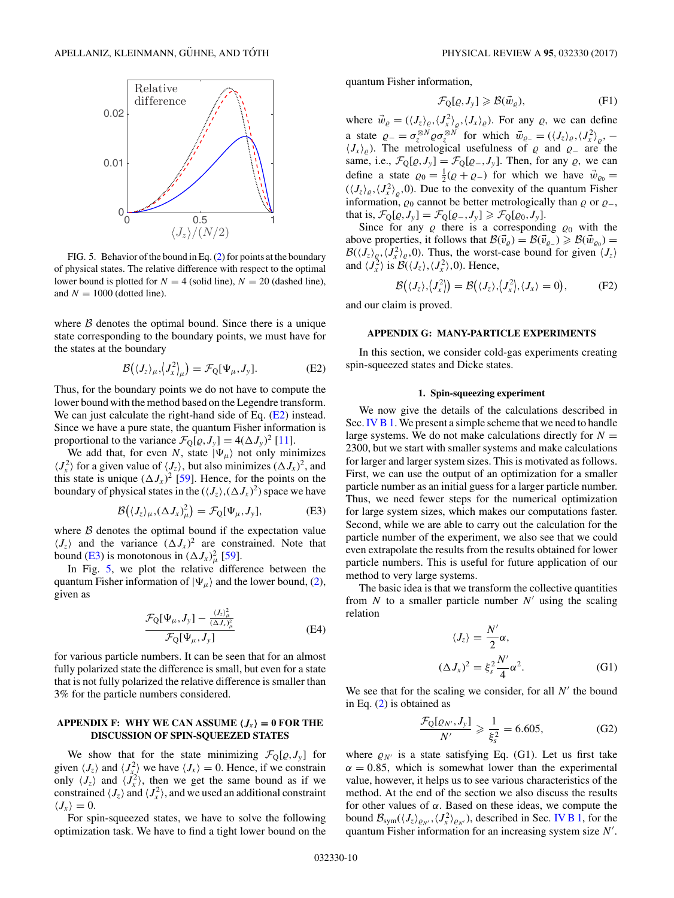<span id="page-9-0"></span>

FIG. 5. Behavior of the bound in Eq. [\(2\)](#page-0-0) for points at the boundary of physical states. The relative difference with respect to the optimal lower bound is plotted for  $N = 4$  (solid line),  $N = 20$  (dashed line), and  $N = 1000$  (dotted line).

where  $B$  denotes the optimal bound. Since there is a unique state corresponding to the boundary points, we must have for the states at the boundary

$$
\mathcal{B}(\langle J_z \rangle_{\mu}, \langle J_x^2 \rangle_{\mu}) = \mathcal{F}_{Q}[\Psi_{\mu}, J_y]. \tag{E2}
$$

Thus, for the boundary points we do not have to compute the lower bound with the method based on the Legendre transform. We can just calculate the right-hand side of Eq. (E2) instead. Since we have a pure state, the quantum Fisher information is proportional to the variance  $\mathcal{F}_{Q}[\varrho, J_{y}] = 4(\Delta J_{y})^{2}$  [\[11\]](#page-11-0).

We add that, for even *N*, state  $|\Psi_{\mu}\rangle$  not only minimizes  $\langle J_x^2 \rangle$  for a given value of  $\langle J_z \rangle$ , but also minimizes  $(\Delta J_x)^2$ , and this state is unique  $(\Delta J_x)^2$  [\[59\]](#page-12-0). Hence, for the points on the boundary of physical states in the  $(\langle J_z \rangle, (\Delta J_x)^2)$  space we have

$$
\mathcal{B}(\langle J_z \rangle_{\mu}, (\Delta J_x)^2_{\mu}) = \mathcal{F}_{Q}[\Psi_{\mu}, J_y], \tag{E3}
$$

where  $\beta$  denotes the optimal bound if the expectation value  $\langle J_z \rangle$  and the variance  $(\Delta J_x)^2$  are constrained. Note that bound (E3) is monotonous in  $(\Delta J_x)^2_{\mu}$  [\[59\]](#page-12-0).

In Fig. 5, we plot the relative difference between the quantum Fisher information of  $|\Psi_{\mu}\rangle$  and the lower bound, [\(2\)](#page-0-0), given as

$$
\frac{\mathcal{F}_{Q}[\Psi_{\mu},J_{y}]-\frac{\langle J_{z}\rangle_{\mu}^{2}}{(\Delta J_{x})_{\mu}^{2}}}{\mathcal{F}_{Q}[\Psi_{\mu},J_{y}]}
$$
(E4)

for various particle numbers. It can be seen that for an almost fully polarized state the difference is small, but even for a state that is not fully polarized the relative difference is smaller than 3% for the particle numbers considered.

## $APPENDIX F: WHY WE CAN ASSUME  $\langle J_x \rangle = 0$  FOR THE$ **DISCUSSION OF SPIN-SQUEEZED STATES**

We show that for the state minimizing  $\mathcal{F}_{Q}[\varrho, J_{y}]$  for given  $\langle J_z \rangle$  and  $\langle J_x^2 \rangle$  we have  $\langle J_x \rangle = 0$ . Hence, if we constrain only  $\langle J_z \rangle$  and  $\langle J_x^2 \rangle$ , then we get the same bound as if we constrained  $\langle J_z \rangle$  and  $\langle J_x^2 \rangle$ , and we used an additional constraint  $\langle J_{\scriptscriptstyle x} \rangle = 0.$ 

For spin-squeezed states, we have to solve the following optimization task. We have to find a tight lower bound on the quantum Fisher information,

$$
\mathcal{F}_{Q}[\varrho, J_{y}] \geqslant \mathcal{B}(\vec{w}_{\varrho}), \tag{F1}
$$

where  $\vec{w}_\varrho = (\langle J_z \rangle_\varrho, \langle J_x^2 \rangle_\varrho, \langle J_x \rangle_\varrho)$ . For any  $\varrho$ , we can define a state  $\varrho_{-} = \sigma_z^{\otimes N} \varrho \sigma_z^{\otimes N}$  for which  $\vec{w}_{\varrho_{-}} = (\langle J_z \rangle_{\varrho}, \langle J_x^2 \rangle_{\varrho}, -\varrho)$  $\langle J_x \rangle_{\rho}$ . The metrological usefulness of  $\rho$  and  $\rho_{-}$  are the same, i.e.,  $\mathcal{F}_{Q}[\varrho, J_{y}] = \mathcal{F}_{Q}[\varrho_{-}, J_{y}]$ . Then, for any  $\varrho$ , we can define a state  $\varrho_0 = \frac{1}{2}(\varrho + \varrho)$  for which we have  $\vec{w}_{\varrho_0} =$  $(\langle J_z \rangle_{\rho}, \langle J_x^2 \rangle_{\rho}, 0)$ . Due to the convexity of the quantum Fisher information,  $\varrho_0$  cannot be better metrologically than  $\varrho$  or  $\varrho_-,$ that is,  $\mathcal{F}_{Q}[\varrho, J_{y}] = \mathcal{F}_{Q}[\varrho_{-}, J_{y}] \geq \mathcal{F}_{Q}[\varrho_{0}, J_{y}].$ 

Since for any  $\rho$  there is a corresponding  $\rho_0$  with the above properties, it follows that  $\mathcal{B}(\vec{v}_\varrho) = \mathcal{B}(\vec{v}_{\varrho-}) \geq \mathcal{B}(\vec{w}_{\varrho_0}) =$  $\mathcal{B}(\langle J_z \rangle_{\rho}, \langle J_x^2 \rangle_{\rho}, 0)$ . Thus, the worst-case bound for given  $\langle J_z \rangle$ and  $\langle J_x^2 \rangle$  is  $\mathcal{B}(\langle J_z \rangle, \langle J_x^2 \rangle, 0)$ . Hence,

$$
\mathcal{B}(\langle J_z \rangle, \langle J_x^2 \rangle) = \mathcal{B}(\langle J_z \rangle, \langle J_x^2 \rangle, \langle J_x \rangle = 0), \tag{F2}
$$

and our claim is proved.

#### **APPENDIX G: MANY-PARTICLE EXPERIMENTS**

In this section, we consider cold-gas experiments creating spin-squeezed states and Dicke states.

## **1. Spin-squeezing experiment**

We now give the details of the calculations described in Sec. [IV B 1.](#page-4-0) We present a simple scheme that we need to handle large systems. We do not make calculations directly for  $N =$ 2300, but we start with smaller systems and make calculations for larger and larger system sizes. This is motivated as follows. First, we can use the output of an optimization for a smaller particle number as an initial guess for a larger particle number. Thus, we need fewer steps for the numerical optimization for large system sizes, which makes our computations faster. Second, while we are able to carry out the calculation for the particle number of the experiment, we also see that we could even extrapolate the results from the results obtained for lower particle numbers. This is useful for future application of our method to very large systems.

The basic idea is that we transform the collective quantities from  $N$  to a smaller particle number  $N'$  using the scaling relation

$$
\langle J_z \rangle = \frac{N'}{2} \alpha,
$$
  

$$
(\Delta J_x)^2 = \xi_s^2 \frac{N'}{4} \alpha^2.
$$
 (G1)

We see that for the scaling we consider, for all  $N'$  the bound in Eq. [\(2\)](#page-0-0) is obtained as

$$
\frac{\mathcal{F}_Q[\varrho_{N'}, J_y]}{N'} \geqslant \frac{1}{\xi_s^2} = 6.605,\tag{G2}
$$

where  $\rho_{N'}$  is a state satisfying Eq. (G1). Let us first take  $\alpha = 0.85$ , which is somewhat lower than the experimental value, however, it helps us to see various characteristics of the method. At the end of the section we also discuss the results for other values of  $\alpha$ . Based on these ideas, we compute the bound  $\mathcal{B}_{sym}(\langle J_z \rangle_{\varrho_{N'}}, \langle J_x^2 \rangle_{\varrho_{N'}})$ , described in Sec. [IV B 1,](#page-4-0) for the quantum Fisher information for an increasing system size *N .*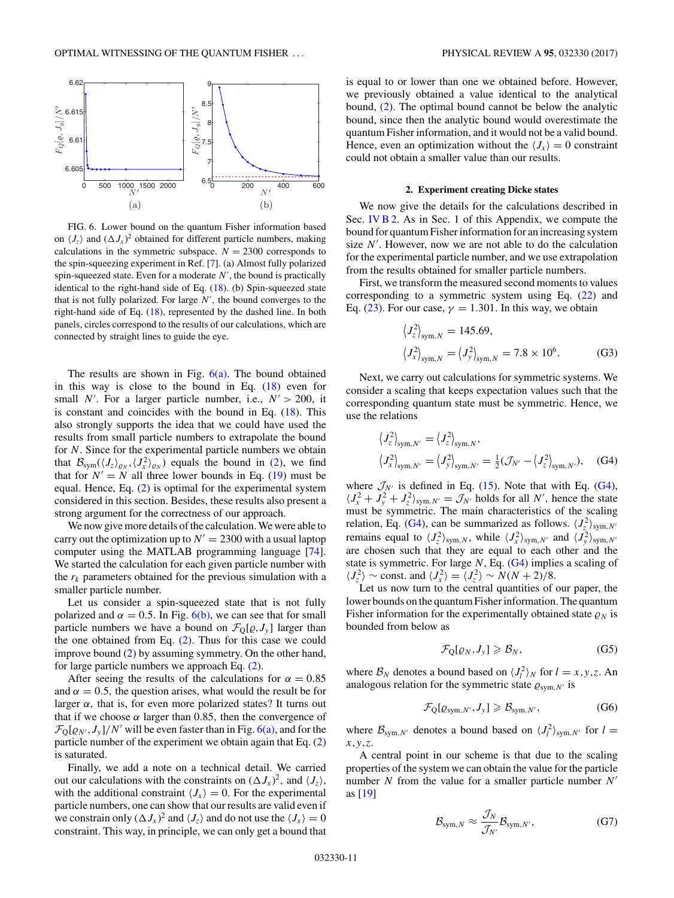<span id="page-10-0"></span>

FIG. 6. Lower bound on the quantum Fisher information based on  $\langle J_z \rangle$  and  $(\Delta J_x)^2$  obtained for different particle numbers, making calculations in the symmetric subspace.  $N = 2300$  corresponds to the spin-squeezing experiment in Ref. [\[7\]](#page-11-0). (a) Almost fully polarized spin-squeezed state. Even for a moderate *N* , the bound is practically identical to the right-hand side of Eq. [\(18\)](#page-5-0). (b) Spin-squeezed state that is not fully polarized. For large *N ,* the bound converges to the right-hand side of Eq. [\(18\)](#page-5-0), represented by the dashed line. In both panels, circles correspond to the results of our calculations, which are connected by straight lines to guide the eye.

The results are shown in Fig.  $6(a)$ . The bound obtained in this way is close to the bound in Eq.  $(18)$  even for small *N'*. For a larger particle number, i.e.,  $N' > 200$ , it is constant and coincides with the bound in Eq.  $(18)$ . This also strongly supports the idea that we could have used the results from small particle numbers to extrapolate the bound for *N.* Since for the experimental particle numbers we obtain that  $B_{sym}(\langle J_z \rangle_{\varrho_N}, \langle J_x^2 \rangle_{\varrho_N})$  equals the bound in [\(2\)](#page-0-0), we find that for  $N' = N$  all three lower bounds in Eq. [\(19\)](#page-5-0) must be equal. Hence, Eq. [\(2\)](#page-0-0) is optimal for the experimental system considered in this section. Besides, these results also present a strong argument for the correctness of our approach.

We now give more details of the calculation. We were able to carry out the optimization up to  $N' = 2300$  with a usual laptop computer using the MATLAB programming language [\[74\]](#page-12-0). We started the calculation for each given particle number with the  $r_k$  parameters obtained for the previous simulation with a smaller particle number.

Let us consider a spin-squeezed state that is not fully polarized and  $\alpha = 0.5$ . In Fig. 6(b), we can see that for small particle numbers we have a bound on  $\mathcal{F}_{Q}[\varrho, J_{y}]$  larger than the one obtained from Eq. [\(2\)](#page-0-0). Thus for this case we could improve bound [\(2\)](#page-0-0) by assuming symmetry. On the other hand, for large particle numbers we approach Eq. [\(2\)](#page-0-0).

After seeing the results of the calculations for  $\alpha = 0.85$ and  $\alpha = 0.5$ , the question arises, what would the result be for larger  $\alpha$ , that is, for even more polarized states? It turns out that if we choose  $\alpha$  larger than 0.85, then the convergence of  $\mathcal{F}_{\text{Q}}[\varrho_{N'}, J_{y}]/N'$  will be even faster than in Fig. 6(a), and for the particle number of the experiment we obtain again that Eq. [\(2\)](#page-0-0) is saturated.

Finally, we add a note on a technical detail. We carried out our calculations with the constraints on  $(\Delta J_x)^2$ , and  $\langle J_z \rangle$ , with the additional constraint  $\langle J_x \rangle = 0$ . For the experimental particle numbers, one can show that our results are valid even if we constrain only  $(\Delta J_x)^2$  and  $\langle J_z \rangle$  and do not use the  $\langle J_x \rangle = 0$ constraint. This way, in principle, we can only get a bound that is equal to or lower than one we obtained before. However, we previously obtained a value identical to the analytical bound, [\(2\)](#page-0-0). The optimal bound cannot be below the analytic bound, since then the analytic bound would overestimate the quantum Fisher information, and it would not be a valid bound. Hence, even an optimization without the  $\langle J_x \rangle = 0$  constraint could not obtain a smaller value than our results.

## **2. Experiment creating Dicke states**

We now give the details for the calculations described in Sec. [IV B 2.](#page-5-0) As in Sec. 1 of this Appendix, we compute the bound for quantum Fisher information for an increasing system size  $N'$ . However, now we are not able to do the calculation for the experimental particle number, and we use extrapolation from the results obtained for smaller particle numbers.

First, we transform the measured second moments to values corresponding to a symmetric system using Eq. [\(22\)](#page-5-0) and Eq. [\(23\)](#page-5-0). For our case,  $\gamma = 1.301$ . In this way, we obtain

$$
\langle J_z^2 \rangle_{sym,N} = 145.69,
$$
  

$$
\langle J_x^2 \rangle_{sym,N} = \langle J_y^2 \rangle_{sym,N} = 7.8 \times 10^6.
$$
 (G3)

Next, we carry out calculations for symmetric systems. We consider a scaling that keeps expectation values such that the corresponding quantum state must be symmetric. Hence, we use the relations

$$
\langle J_z^2 \rangle_{\text{sym},N'} = \langle J_z^2 \rangle_{\text{sym},N'},
$$
  

$$
\langle J_x^2 \rangle_{\text{sym},N'} = \langle J_y^2 \rangle_{\text{sym},N'} = \frac{1}{2} (\mathcal{J}_{N'} - \langle J_z^2 \rangle_{\text{sym},N'}),
$$
 (G4)

where  $\mathcal{J}_{N'}$  is defined in Eq. [\(15\)](#page-3-0). Note that with Eq. (G4),  $\langle J_x^2 + J_y^2 + J_z^2 \rangle_{sym, N'} = \mathcal{J}_{N'}$  holds for all *N'*, hence the state must be symmetric. The main characteristics of the scaling relation, Eq. (G4), can be summarized as follows.  $\langle J_z^2 \rangle_{sym,N'}$ remains equal to  $\langle J_z^2 \rangle_{sym,N}$ , while  $\langle J_x^2 \rangle_{sym,N'}$  and  $\langle J_y^2 \rangle_{sym,N'}$ are chosen such that they are equal to each other and the state is symmetric. For large *N*, Eq. (G4) implies a scaling of  $\langle J_z^2 \rangle \sim \text{const.}$  and  $\langle J_x^2 \rangle = \langle J_z^2 \rangle \sim N(N+2)/8.$ 

Let us now turn to the central quantities of our paper, the lower bounds on the quantum Fisher information. The quantum Fisher information for the experimentally obtained state  $\rho_N$  is bounded from below as

$$
\mathcal{F}_{Q}[\varrho_{N},J_{y}] \geqslant \mathcal{B}_{N},\tag{G5}
$$

where  $B_N$  denotes a bound based on  $\langle J_l^2 \rangle_N$  for  $l = x, y, z$ . An analogous relation for the symmetric state  $\varrho_{sym,N'}$  is

$$
\mathcal{F}_{Q}[\varrho_{sym,N'}, J_{y}] \geqslant \mathcal{B}_{sym,N'}, \tag{G6}
$$

where  $\mathcal{B}_{sym,N'}$  denotes a bound based on  $\langle J_l^2 \rangle_{sym,N'}$  for  $l =$ *x,y,z*.

A central point in our scheme is that due to the scaling properties of the system we can obtain the value for the particle number *N* from the value for a smaller particle number *N* as [\[19\]](#page-11-0)

$$
\mathcal{B}_{\text{sym},N} \approx \frac{\mathcal{J}_N}{\mathcal{J}_{N'}} \mathcal{B}_{\text{sym},N'},\tag{G7}
$$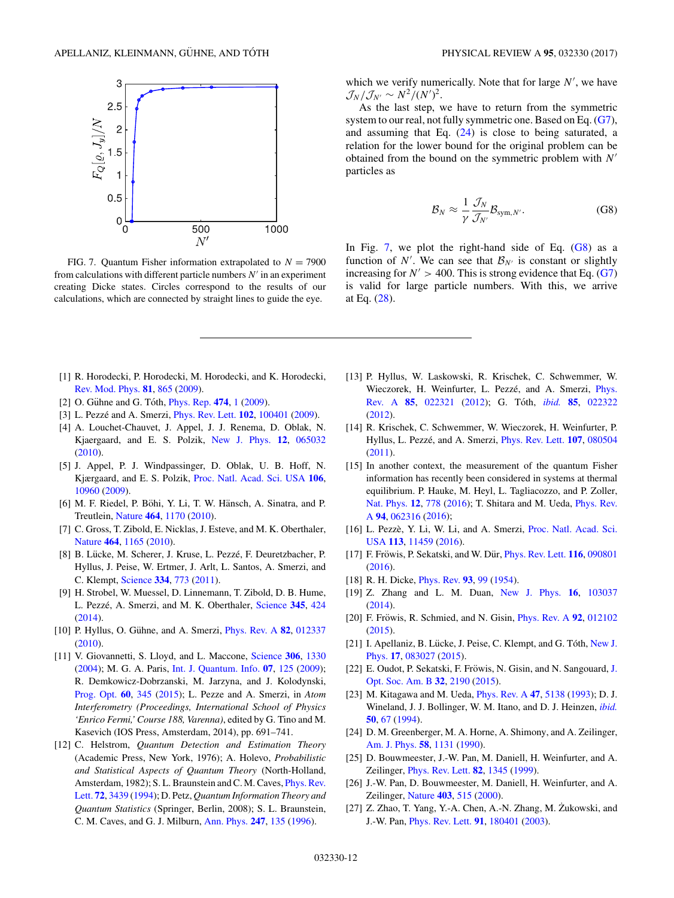<span id="page-11-0"></span>

FIG. 7. Quantum Fisher information extrapolated to  $N = 7900$ from calculations with different particle numbers  $N'$  in an experiment creating Dicke states. Circles correspond to the results of our calculations, which are connected by straight lines to guide the eye.

which we verify numerically. Note that for large  $N'$ , we have  $\mathcal{J}_N/\mathcal{J}_{N'} \sim N^2/(N')^2$ .

As the last step, we have to return from the symmetric system to our real, not fully symmetric one. Based on Eq. [\(G7\)](#page-10-0), and assuming that Eq. [\(24\)](#page-5-0) is close to being saturated, a relation for the lower bound for the original problem can be obtained from the bound on the symmetric problem with *N* particles as

$$
\mathcal{B}_N \approx \frac{1}{\gamma} \frac{\mathcal{J}_N}{\mathcal{J}_{N'}} \mathcal{B}_{sym,N'}.
$$
 (G8)

In Fig. 7, we plot the right-hand side of Eq.  $(G8)$  as a function of *N'*. We can see that  $\mathcal{B}_{N'}$  is constant or slightly increasing for  $N' > 400$ . This is strong evidence that Eq. [\(G7\)](#page-10-0) is valid for large particle numbers. With this, we arrive at Eq. [\(28\)](#page-6-0).

- [1] R. Horodecki, P. Horodecki, M. Horodecki, and K. Horodecki, [Rev. Mod. Phys.](https://doi.org/10.1103/RevModPhys.81.865) **[81](https://doi.org/10.1103/RevModPhys.81.865)**, [865](https://doi.org/10.1103/RevModPhys.81.865) [\(2009\)](https://doi.org/10.1103/RevModPhys.81.865).
- [2] O. Gühne and G. Tóth, *[Phys. Rep.](https://doi.org/10.1016/j.physrep.2009.02.004)* [474](https://doi.org/10.1016/j.physrep.2009.02.004), [1](https://doi.org/10.1016/j.physrep.2009.02.004) [\(2009\)](https://doi.org/10.1016/j.physrep.2009.02.004).
- [3] L. Pezzé and A. Smerzi, *[Phys. Rev. Lett.](https://doi.org/10.1103/PhysRevLett.102.100401)* **[102](https://doi.org/10.1103/PhysRevLett.102.100401)**, [100401](https://doi.org/10.1103/PhysRevLett.102.100401) [\(2009\)](https://doi.org/10.1103/PhysRevLett.102.100401).
- [4] A. Louchet-Chauvet, J. Appel, J. J. Renema, D. Oblak, N. Kjaergaard, and E. S. Polzik, [New J. Phys.](https://doi.org/10.1088/1367-2630/12/6/065032) **[12](https://doi.org/10.1088/1367-2630/12/6/065032)**, [065032](https://doi.org/10.1088/1367-2630/12/6/065032) [\(2010\)](https://doi.org/10.1088/1367-2630/12/6/065032).
- [5] J. Appel, P. J. Windpassinger, D. Oblak, U. B. Hoff, N. Kjærgaard, and E. S. Polzik, [Proc. Natl. Acad. Sci. USA](https://doi.org/10.1073/pnas.0901550106) **[106](https://doi.org/10.1073/pnas.0901550106)**, [10960](https://doi.org/10.1073/pnas.0901550106) [\(2009\)](https://doi.org/10.1073/pnas.0901550106).
- [6] M. F. Riedel, P. Böhi, Y. Li, T. W. Hänsch, A. Sinatra, and P. Treutlein, [Nature](https://doi.org/10.1038/nature08988) **[464](https://doi.org/10.1038/nature08988)**, [1170](https://doi.org/10.1038/nature08988) [\(2010\)](https://doi.org/10.1038/nature08988).
- [7] C. Gross, T. Zibold, E. Nicklas, J. Esteve, and M. K. Oberthaler, [Nature](https://doi.org/10.1038/nature08919) **[464](https://doi.org/10.1038/nature08919)**, [1165](https://doi.org/10.1038/nature08919) [\(2010\)](https://doi.org/10.1038/nature08919).
- [8] B. Lücke, M. Scherer, J. Kruse, L. Pezzé, F. Deuretzbacher, P. Hyllus, J. Peise, W. Ertmer, J. Arlt, L. Santos, A. Smerzi, and C. Klempt, [Science](https://doi.org/10.1126/science.1208798) **[334](https://doi.org/10.1126/science.1208798)**, [773](https://doi.org/10.1126/science.1208798) [\(2011\)](https://doi.org/10.1126/science.1208798).
- [9] H. Strobel, W. Muessel, D. Linnemann, T. Zibold, D. B. Hume, L. Pezzé, A. Smerzi, and M. K. Oberthaler, [Science](https://doi.org/10.1126/science.1250147) [345](https://doi.org/10.1126/science.1250147), [424](https://doi.org/10.1126/science.1250147) [\(2014\)](https://doi.org/10.1126/science.1250147).
- [10] P. Hyllus, O. Gühne, and A. Smerzi, *[Phys. Rev. A](https://doi.org/10.1103/PhysRevA.82.012337)* [82](https://doi.org/10.1103/PhysRevA.82.012337), [012337](https://doi.org/10.1103/PhysRevA.82.012337) [\(2010\)](https://doi.org/10.1103/PhysRevA.82.012337).
- [11] V. Giovannetti, S. Lloyd, and L. Maccone, [Science](https://doi.org/10.1126/science.1104149) **[306](https://doi.org/10.1126/science.1104149)**, [1330](https://doi.org/10.1126/science.1104149) [\(2004\)](https://doi.org/10.1126/science.1104149); M. G. A. Paris, [Int. J. Quantum. Info.](https://doi.org/10.1142/S0219749909004839) **[07](https://doi.org/10.1142/S0219749909004839)**, [125](https://doi.org/10.1142/S0219749909004839) [\(2009\)](https://doi.org/10.1142/S0219749909004839); R. Demkowicz-Dobrzanski, M. Jarzyna, and J. Kolodynski, [Prog. Opt.](https://doi.org/10.1016/bs.po.2015.02.003) **[60](https://doi.org/10.1016/bs.po.2015.02.003)**, [345](https://doi.org/10.1016/bs.po.2015.02.003) [\(2015\)](https://doi.org/10.1016/bs.po.2015.02.003); L. Pezze and A. Smerzi, in *Atom Interferometry (Proceedings, International School of Physics 'Enrico Fermi,' Course 188, Varenna)*, edited by G. Tino and M. Kasevich (IOS Press, Amsterdam, 2014), pp. 691–741.
- [12] C. Helstrom, *Quantum Detection and Estimation Theory* (Academic Press, New York, 1976); A. Holevo, *Probabilistic and Statistical Aspects of Quantum Theory* (North-Holland, [Amsterdam, 1982\); S. L. Braunstein and C. M. Caves,](https://doi.org/10.1103/PhysRevLett.72.3439) Phys. Rev. Lett. **[72](https://doi.org/10.1103/PhysRevLett.72.3439)**, [3439](https://doi.org/10.1103/PhysRevLett.72.3439) [\(1994\)](https://doi.org/10.1103/PhysRevLett.72.3439); D. Petz, *Quantum Information Theory and Quantum Statistics* (Springer, Berlin, 2008); S. L. Braunstein, C. M. Caves, and G. J. Milburn, [Ann. Phys.](https://doi.org/10.1006/aphy.1996.0040) **[247](https://doi.org/10.1006/aphy.1996.0040)**, [135](https://doi.org/10.1006/aphy.1996.0040) [\(1996\)](https://doi.org/10.1006/aphy.1996.0040).
- [13] P. Hyllus, W. Laskowski, R. Krischek, C. Schwemmer, W. Wieczorek, H. Weinfurter, L. Pezzé, and A. Smerzi, *Phys.* Rev. A **[85](https://doi.org/10.1103/PhysRevA.85.022322)**, [022321](https://doi.org/10.1103/PhysRevA.85.022321) [\(2012\)](https://doi.org/10.1103/PhysRevA.85.022321); G. Tóth, *[ibid.](https://doi.org/10.1103/PhysRevA.85.022322)* 85, [022322](https://doi.org/10.1103/PhysRevA.85.022322) [\(2012\)](https://doi.org/10.1103/PhysRevA.85.022322).
- [14] R. Krischek, C. Schwemmer, W. Wieczorek, H. Weinfurter, P. Hyllus, L. Pezzé, and A. Smerzi, *[Phys. Rev. Lett.](https://doi.org/10.1103/PhysRevLett.107.080504)* **[107](https://doi.org/10.1103/PhysRevLett.107.080504)**, [080504](https://doi.org/10.1103/PhysRevLett.107.080504) [\(2011\)](https://doi.org/10.1103/PhysRevLett.107.080504).
- [15] In another context, the measurement of the quantum Fisher information has recently been considered in systems at thermal equilibrium. P. Hauke, M. Heyl, L. Tagliacozzo, and P. Zoller, [Nat. Phys.](https://doi.org/10.1038/nphys3700) **[12](https://doi.org/10.1038/nphys3700)**, [778](https://doi.org/10.1038/nphys3700) [\(](https://doi.org/10.1103/PhysRevA.94.062316)[2016](https://doi.org/10.1038/nphys3700)[\); T. Shitara and M. Ueda,](https://doi.org/10.1103/PhysRevA.94.062316) Phys. Rev. A **[94](https://doi.org/10.1103/PhysRevA.94.062316)**, [062316](https://doi.org/10.1103/PhysRevA.94.062316) [\(2016\)](https://doi.org/10.1103/PhysRevA.94.062316);
- [16] L. Pezzè, Y. Li, W. Li, and A. Smerzi, Proc. Natl. Acad. Sci. USA **[113](https://doi.org/10.1073/pnas.1603346113)**, [11459](https://doi.org/10.1073/pnas.1603346113) [\(2016\)](https://doi.org/10.1073/pnas.1603346113).
- [17] F. Fröwis, P. Sekatski, and W. Dür, *[Phys. Rev. Lett.](https://doi.org/10.1103/PhysRevLett.116.090801)* **[116](https://doi.org/10.1103/PhysRevLett.116.090801)**, [090801](https://doi.org/10.1103/PhysRevLett.116.090801) [\(2016\)](https://doi.org/10.1103/PhysRevLett.116.090801).
- [18] R. H. Dicke, [Phys. Rev.](https://doi.org/10.1103/PhysRev.93.99) **[93](https://doi.org/10.1103/PhysRev.93.99)**, [99](https://doi.org/10.1103/PhysRev.93.99) [\(1954\)](https://doi.org/10.1103/PhysRev.93.99).
- [19] Z. Zhang and L. M. Duan, [New J. Phys.](https://doi.org/10.1088/1367-2630/16/10/103037) **[16](https://doi.org/10.1088/1367-2630/16/10/103037)**, [103037](https://doi.org/10.1088/1367-2630/16/10/103037) [\(2014\)](https://doi.org/10.1088/1367-2630/16/10/103037).
- [20] F. Fröwis, R. Schmied, and N. Gisin, *[Phys. Rev. A](https://doi.org/10.1103/PhysRevA.92.012102)* [92](https://doi.org/10.1103/PhysRevA.92.012102), [012102](https://doi.org/10.1103/PhysRevA.92.012102) [\(2015\)](https://doi.org/10.1103/PhysRevA.92.012102).
- [21] I. Apellaniz, B. Lücke, J. Peise, C. Klempt, and G. Tóth, New J. Phys. **[17](https://doi.org/10.1088/1367-2630/17/8/083027)**, [083027](https://doi.org/10.1088/1367-2630/17/8/083027) [\(2015\)](https://doi.org/10.1088/1367-2630/17/8/083027).
- [22] E. Oudot, P. Sekatski, F. Fröwis, N. Gisin, and N. Sangouard, J. Opt. Soc. Am. B **[32](https://doi.org/10.1364/JOSAB.32.002190)**, [2190](https://doi.org/10.1364/JOSAB.32.002190) [\(2015\)](https://doi.org/10.1364/JOSAB.32.002190).
- [23] M. Kitagawa and M. Ueda, [Phys. Rev. A](https://doi.org/10.1103/PhysRevA.47.5138) **[47](https://doi.org/10.1103/PhysRevA.47.5138)**, [5138](https://doi.org/10.1103/PhysRevA.47.5138) [\(1993\)](https://doi.org/10.1103/PhysRevA.47.5138); D. J. Wineland, J. J. Bollinger, W. M. Itano, and D. J. Heinzen, *[ibid.](https://doi.org/10.1103/PhysRevA.50.67)* **[50](https://doi.org/10.1103/PhysRevA.50.67)**, [67](https://doi.org/10.1103/PhysRevA.50.67) [\(1994\)](https://doi.org/10.1103/PhysRevA.50.67).
- [24] D. M. Greenberger, M. A. Horne, A. Shimony, and A. Zeilinger, [Am. J. Phys.](https://doi.org/10.1119/1.16243) **[58](https://doi.org/10.1119/1.16243)**, [1131](https://doi.org/10.1119/1.16243) [\(1990\)](https://doi.org/10.1119/1.16243).
- [25] D. Bouwmeester, J.-W. Pan, M. Daniell, H. Weinfurter, and A. Zeilinger, [Phys. Rev. Lett.](https://doi.org/10.1103/PhysRevLett.82.1345) **[82](https://doi.org/10.1103/PhysRevLett.82.1345)**, [1345](https://doi.org/10.1103/PhysRevLett.82.1345) [\(1999\)](https://doi.org/10.1103/PhysRevLett.82.1345).
- [26] J.-W. Pan, D. Bouwmeester, M. Daniell, H. Weinfurter, and A. Zeilinger, [Nature](https://doi.org/10.1038/35000514) **[403](https://doi.org/10.1038/35000514)**, [515](https://doi.org/10.1038/35000514) [\(2000\)](https://doi.org/10.1038/35000514).
- [27] Z. Zhao, T. Yang, Y.-A. Chen, A.-N. Zhang, M. Zukowski, and J.-W. Pan, [Phys. Rev. Lett.](https://doi.org/10.1103/PhysRevLett.91.180401) **[91](https://doi.org/10.1103/PhysRevLett.91.180401)**, [180401](https://doi.org/10.1103/PhysRevLett.91.180401) [\(2003\)](https://doi.org/10.1103/PhysRevLett.91.180401).